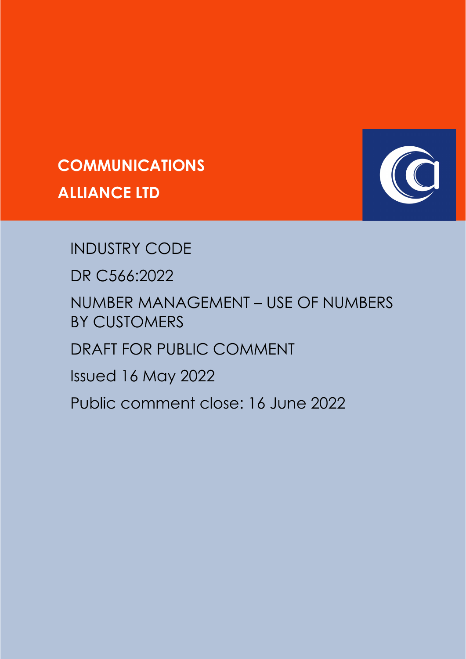



# INDUSTRY CODE

DR C566:2022

NUMBER MANAGEMENT – USE OF NUMBERS BY CUSTOMERS

DRAFT FOR PUBLIC COMMENT

Issued 16 May 2022

Public comment close: 16 June 2022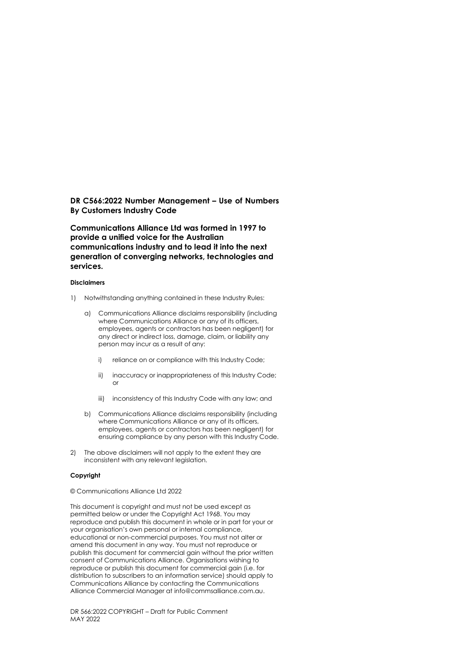#### **DR C566:2022 Number Management – Use of Numbers By Customers Industry Code**

**Communications Alliance Ltd was formed in 1997 to provide a unified voice for the Australian communications industry and to lead it into the next generation of converging networks, technologies and services.**

#### **Disclaimers**

- 1) Notwithstanding anything contained in these Industry Rules:
	- a) Communications Alliance disclaims responsibility (including where Communications Alliance or any of its officers, employees, agents or contractors has been negligent) for any direct or indirect loss, damage, claim, or liability any person may incur as a result of any:
		- i) reliance on or compliance with this Industry Code;
		- ii) inaccuracy or inappropriateness of this Industry Code; or
		- iii) inconsistency of this Industry Code with any law; and
	- b) Communications Alliance disclaims responsibility (including where Communications Alliance or any of its officers, employees, agents or contractors has been negligent) for ensuring compliance by any person with this Industry Code.
- 2) The above disclaimers will not apply to the extent they are inconsistent with any relevant legislation.

#### **Copyright**

© Communications Alliance Ltd 2022

This document is copyright and must not be used except as permitted below or under the Copyright Act 1968. You may reproduce and publish this document in whole or in part for your or your organisation's own personal or internal compliance, educational or non-commercial purposes. You must not alter or amend this document in any way. You must not reproduce or publish this document for commercial gain without the prior written consent of Communications Alliance. Organisations wishing to reproduce or publish this document for commercial gain (i.e. for distribution to subscribers to an information service) should apply to Communications Alliance by contacting the Communications Alliance Commercial Manager at info@commsalliance.com.au.

DR 566:2022 COPYRIGHT – Draft for Public Comment MAY 2022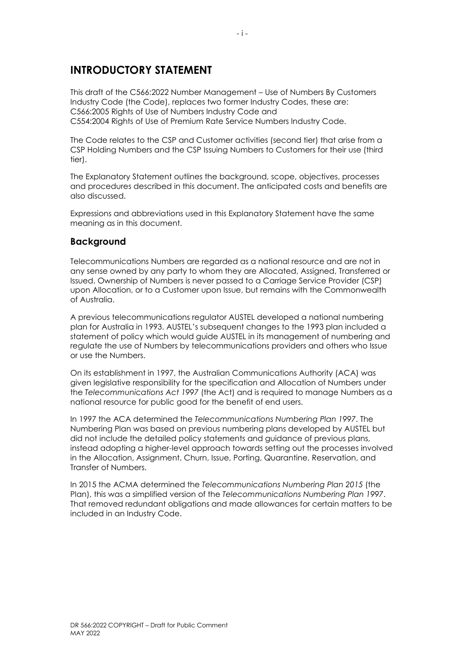## **INTRODUCTORY STATEMENT**

This draft of the C566:2022 Number Management – Use of Numbers By Customers Industry Code (the Code), replaces two former Industry Codes, these are: C566:2005 Rights of Use of Numbers Industry Code and C554:2004 Rights of Use of Premium Rate Service Numbers Industry Code.

The Code relates to the CSP and Customer activities (second tier) that arise from a CSP Holding Numbers and the CSP Issuing Numbers to Customers for their use (third tier).

The Explanatory Statement outlines the background, scope, objectives, processes and procedures described in this document. The anticipated costs and benefits are also discussed.

Expressions and abbreviations used in this Explanatory Statement have the same meaning as in this document.

### **Background**

Telecommunications Numbers are regarded as a national resource and are not in any sense owned by any party to whom they are Allocated, Assigned, Transferred or Issued. Ownership of Numbers is never passed to a Carriage Service Provider (CSP) upon Allocation, or to a Customer upon Issue, but remains with the Commonwealth of Australia.

A previous telecommunications regulator AUSTEL developed a national numbering plan for Australia in 1993. AUSTEL's subsequent changes to the 1993 plan included a statement of policy which would guide AUSTEL in its management of numbering and regulate the use of Numbers by telecommunications providers and others who Issue or use the Numbers.

On its establishment in 1997, the Australian Communications Authority (ACA) was given legislative responsibility for the specification and Allocation of Numbers under the *Telecommunications Act 1997* (the Act) and is required to manage Numbers as a national resource for public good for the benefit of end users.

In 1997 the ACA determined the *Telecommunications Numbering Plan 1997*. The Numbering Plan was based on previous numbering plans developed by AUSTEL but did not include the detailed policy statements and guidance of previous plans, instead adopting a higher-level approach towards setting out the processes involved in the Allocation, Assignment, Churn, Issue, Porting, Quarantine, Reservation, and Transfer of Numbers.

In 2015 the ACMA determined the *Telecommunications Numbering Plan 2015* (the Plan), this was a simplified version of the *Telecommunications Numbering Plan 1997*. That removed redundant obligations and made allowances for certain matters to be included in an Industry Code.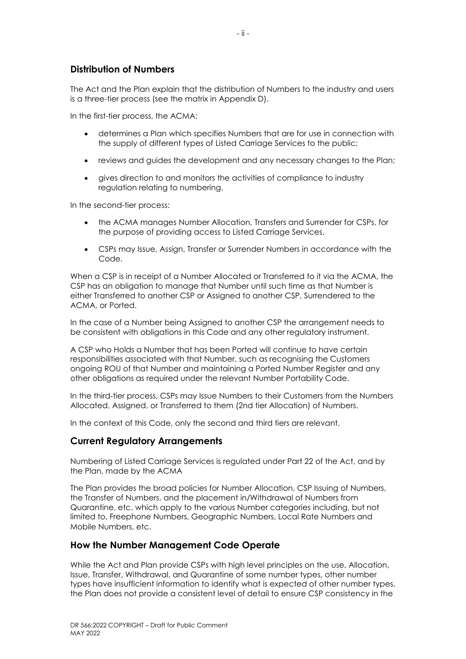### **Distribution of Numbers**

The Act and the Plan explain that the distribution of Numbers to the industry and users is a three-tier process (see the matrix in Appendix D).

In the first-tier process, the ACMA:

- determines a Plan which specifies Numbers that are for use in connection with the supply of different types of Listed Carriage Services to the public;
- reviews and guides the development and any necessary changes to the Plan;
- gives direction to and monitors the activities of compliance to industry regulation relating to numbering.

In the second-tier process:

- the ACMA manages Number Allocation, Transfers and Surrender for CSPs, for the purpose of providing access to Listed Carriage Services.
- CSPs may Issue, Assign, Transfer or Surrender Numbers in accordance with the Code.

When a CSP is in receipt of a Number Allocated or Transferred to it via the ACMA, the CSP has an obligation to manage that Number until such time as that Number is either Transferred to another CSP or Assigned to another CSP, Surrendered to the ACMA, or Ported.

In the case of a Number being Assigned to another CSP the arrangement needs to be consistent with obligations in this Code and any other regulatory instrument.

A CSP who Holds a Number that has been Ported will continue to have certain responsibilities associated with that Number, such as recognising the Customers ongoing ROU of that Number and maintaining a Ported Number Register and any other obligations as required under the relevant Number Portability Code.

In the third-tier process, CSPs may Issue Numbers to their Customers from the Numbers Allocated, Assigned, or Transferred to them (2nd tier Allocation) of Numbers.

In the context of this Code, only the second and third tiers are relevant.

### **Current Regulatory Arrangements**

Numbering of Listed Carriage Services is regulated under Part 22 of the Act, and by the Plan, made by the ACMA

The Plan provides the broad policies for Number Allocation, CSP Issuing of Numbers, the Transfer of Numbers, and the placement in/Withdrawal of Numbers from Quarantine, etc. which apply to the various Number categories including, but not limited to, Freephone Numbers, Geographic Numbers, Local Rate Numbers and Mobile Numbers, etc.

### **How the Number Management Code Operate**

While the Act and Plan provide CSPs with high level principles on the use, Allocation, Issue, Transfer, Withdrawal, and Quarantine of some number types, other number types have insufficient information to identify what is expected of other number types, the Plan does not provide a consistent level of detail to ensure CSP consistency in the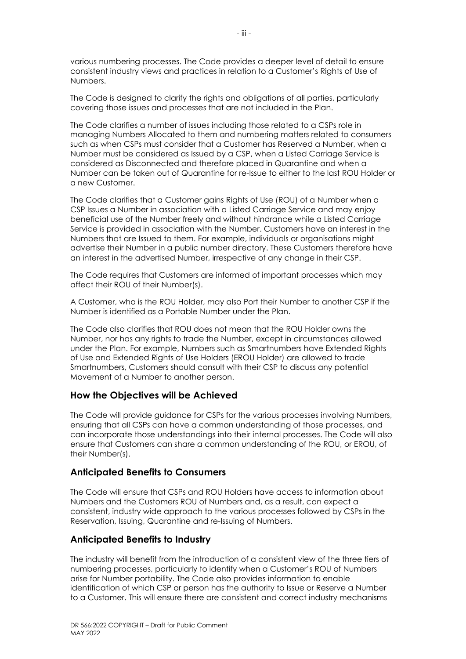various numbering processes. The Code provides a deeper level of detail to ensure consistent industry views and practices in relation to a Customer's Rights of Use of Numbers.

The Code is designed to clarify the rights and obligations of all parties, particularly covering those issues and processes that are not included in the Plan.

The Code clarifies a number of issues including those related to a CSPs role in managing Numbers Allocated to them and numbering matters related to consumers such as when CSPs must consider that a Customer has Reserved a Number, when a Number must be considered as Issued by a CSP, when a Listed Carriage Service is considered as Disconnected and therefore placed in Quarantine and when a Number can be taken out of Quarantine for re-Issue to either to the last ROU Holder or a new Customer.

The Code clarifies that a Customer gains Rights of Use (ROU) of a Number when a CSP Issues a Number in association with a Listed Carriage Service and may enjoy beneficial use of the Number freely and without hindrance while a Listed Carriage Service is provided in association with the Number. Customers have an interest in the Numbers that are Issued to them. For example, individuals or organisations might advertise their Number in a public number directory. These Customers therefore have an interest in the advertised Number, irrespective of any change in their CSP.

The Code requires that Customers are informed of important processes which may affect their ROU of their Number(s).

A Customer, who is the ROU Holder, may also Port their Number to another CSP if the Number is identified as a Portable Number under the Plan.

The Code also clarifies that ROU does not mean that the ROU Holder owns the Number, nor has any rights to trade the Number, except in circumstances allowed under the Plan. For example, Numbers such as Smartnumbers have Extended Rights of Use and Extended Rights of Use Holders (EROU Holder) are allowed to trade Smartnumbers, Customers should consult with their CSP to discuss any potential Movement of a Number to another person.

### **How the Objectives will be Achieved**

The Code will provide guidance for CSPs for the various processes involving Numbers, ensuring that all CSPs can have a common understanding of those processes, and can incorporate those understandings into their internal processes. The Code will also ensure that Customers can share a common understanding of the ROU, or EROU, of their Number(s).

### **Anticipated Benefits to Consumers**

The Code will ensure that CSPs and ROU Holders have access to information about Numbers and the Customers ROU of Numbers and, as a result, can expect a consistent, industry wide approach to the various processes followed by CSPs in the Reservation, Issuing, Quarantine and re-Issuing of Numbers.

### **Anticipated Benefits to Industry**

The industry will benefit from the introduction of a consistent view of the three tiers of numbering processes, particularly to identify when a Customer's ROU of Numbers arise for Number portability. The Code also provides information to enable identification of which CSP or person has the authority to Issue or Reserve a Number to a Customer. This will ensure there are consistent and correct industry mechanisms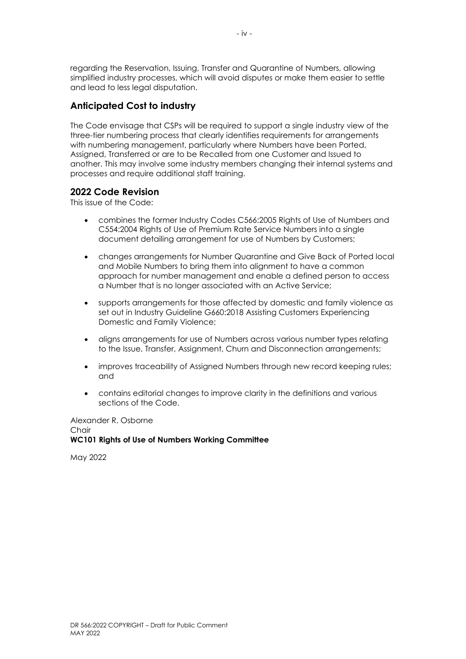regarding the Reservation, Issuing, Transfer and Quarantine of Numbers, allowing simplified industry processes, which will avoid disputes or make them easier to settle and lead to less legal disputation.

### **Anticipated Cost to industry**

The Code envisage that CSPs will be required to support a single industry view of the three-tier numbering process that clearly identifies requirements for arrangements with numbering management, particularly where Numbers have been Ported, Assigned, Transferred or are to be Recalled from one Customer and Issued to another. This may involve some industry members changing their internal systems and processes and require additional staff training.

### **2022 Code Revision**

This issue of the Code:

- combines the former Industry Codes C566:2005 Rights of Use of Numbers and C554:2004 Rights of Use of Premium Rate Service Numbers into a single document detailing arrangement for use of Numbers by Customers;
- changes arrangements for Number Quarantine and Give Back of Ported local and Mobile Numbers to bring them into alignment to have a common approach for number management and enable a defined person to access a Number that is no longer associated with an Active Service;
- supports arrangements for those affected by domestic and family violence as set out in Industry Guideline G660:2018 Assisting Customers Experiencing Domestic and Family Violence;
- aligns arrangements for use of Numbers across various number types relating to the Issue, Transfer, Assignment, Churn and Disconnection arrangements;
- improves traceability of Assigned Numbers through new record keeping rules; and
- contains editorial changes to improve clarity in the definitions and various sections of the Code.

Alexander R. Osborne **Chair WC101 Rights of Use of Numbers Working Committee** 

May 2022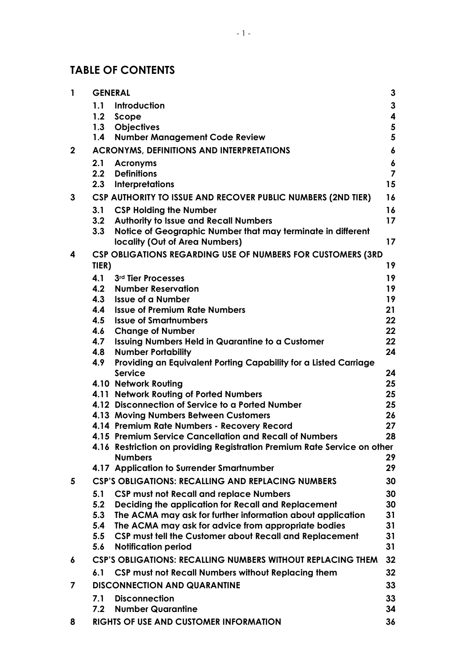## **TABLE OF CONTENTS**

| $\mathbf{1}$ | <b>GENERAL</b> |                                                                                                        | $\mathbf{3}$            |
|--------------|----------------|--------------------------------------------------------------------------------------------------------|-------------------------|
|              | 1.1            | Introduction                                                                                           | $\mathbf{3}$            |
|              | 1.2            | Scope                                                                                                  | 4                       |
|              | 1.3            | <b>Objectives</b>                                                                                      | 5                       |
|              | 1.4            | <b>Number Management Code Review</b>                                                                   | 5                       |
| $\mathbf{2}$ |                | <b>ACRONYMS, DEFINITIONS AND INTERPRETATIONS</b>                                                       | 6                       |
|              | 2.1            | <b>Acronyms</b>                                                                                        | 6                       |
|              | 2.2            | <b>Definitions</b>                                                                                     | $\overline{\mathbf{z}}$ |
|              | 2.3            | <b>Interpretations</b>                                                                                 | 15                      |
| 3            |                | CSP AUTHORITY TO ISSUE AND RECOVER PUBLIC NUMBERS (2ND TIER)                                           | 16                      |
|              | 3.1            | <b>CSP Holding the Number</b>                                                                          | 16                      |
|              | 3.2            | <b>Authority to Issue and Recall Numbers</b>                                                           | 17                      |
|              | 3.3            | Notice of Geographic Number that may terminate in different                                            |                         |
|              |                | locality (Out of Area Numbers)                                                                         | 17                      |
| 4            |                | CSP OBLIGATIONS REGARDING USE OF NUMBERS FOR CUSTOMERS (3RD                                            |                         |
|              | TIER)          |                                                                                                        | 19                      |
|              | 4.1            | 3rd Tier Processes                                                                                     | 19                      |
|              | 4.2            | <b>Number Reservation</b>                                                                              | 19                      |
|              | 4.3<br>4.4     | <b>Issue of a Number</b><br><b>Issue of Premium Rate Numbers</b>                                       | 19<br>21                |
|              | 4.5            | <b>Issue of Smartnumbers</b>                                                                           | 22                      |
|              | 4.6            | <b>Change of Number</b>                                                                                | 22                      |
|              | 4.7            | <b>Issuing Numbers Held in Quarantine to a Customer</b>                                                | 22                      |
|              | 4.8            | <b>Number Portability</b>                                                                              | 24                      |
|              | 4.9            | Providing an Equivalent Porting Capability for a Listed Carriage                                       |                         |
|              |                | <b>Service</b>                                                                                         | 24                      |
|              |                | 4.10 Network Routing                                                                                   | 25                      |
|              |                | 4.11 Network Routing of Ported Numbers                                                                 | 25                      |
|              |                | 4.12 Disconnection of Service to a Ported Number                                                       | 25                      |
|              |                | 4.13 Moving Numbers Between Customers                                                                  | 26<br>27                |
|              |                | 4.14 Premium Rate Numbers - Recovery Record<br>4.15 Premium Service Cancellation and Recall of Numbers | 28                      |
|              |                | 4.16 Restriction on providing Registration Premium Rate Service on other                               |                         |
|              |                | <b>Numbers</b>                                                                                         | 29                      |
|              |                | 4.17 Application to Surrender Smartnumber                                                              | 29                      |
| 5            |                | <b>CSP'S OBLIGATIONS: RECALLING AND REPLACING NUMBERS</b>                                              | 30                      |
|              | 5.1            | <b>CSP must not Recall and replace Numbers</b>                                                         | 30                      |
|              | 5.2            | Deciding the application for Recall and Replacement                                                    | 30                      |
|              | 5.3            | The ACMA may ask for further information about application                                             | 31                      |
|              | 5.4            | The ACMA may ask for advice from appropriate bodies                                                    | 31                      |
|              | 5.5            | CSP must tell the Customer about Recall and Replacement                                                | 31                      |
|              | 5.6            | <b>Notification period</b>                                                                             | 31                      |
| 6            |                | <b>CSP'S OBLIGATIONS: RECALLING NUMBERS WITHOUT REPLACING THEM</b>                                     | 32                      |
|              | 6.1            | CSP must not Recall Numbers without Replacing them                                                     | 32                      |
| 7            |                | <b>DISCONNECTION AND QUARANTINE</b>                                                                    | 33                      |
|              | 7.1            | <b>Disconnection</b>                                                                                   | 33                      |
|              | 7.2            | <b>Number Quarantine</b>                                                                               | 34                      |
| 8            |                | RIGHTS OF USE AND CUSTOMER INFORMATION                                                                 | 36                      |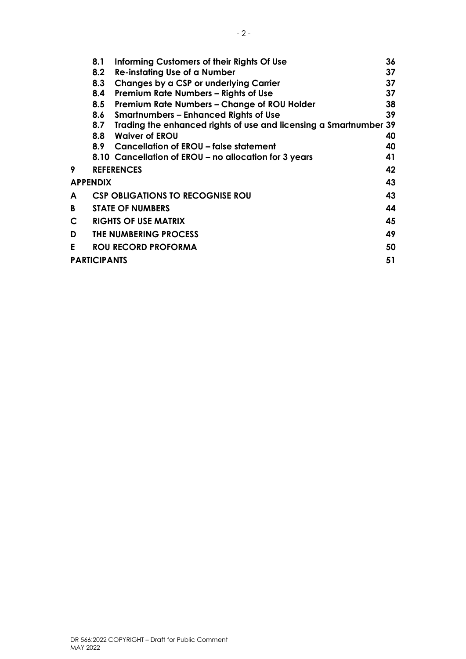|    | 8.1                 | Informing Customers of their Rights Of Use                        | 36 |
|----|---------------------|-------------------------------------------------------------------|----|
|    | 8.2                 | <b>Re-instating Use of a Number</b>                               | 37 |
|    | 8.3                 | Changes by a CSP or underlying Carrier                            | 37 |
|    | 8.4                 | Premium Rate Numbers - Rights of Use                              | 37 |
|    | 8.5                 | Premium Rate Numbers - Change of ROU Holder                       | 38 |
|    | 8.6                 | <b>Smartnumbers – Enhanced Rights of Use</b>                      | 39 |
|    | 8.7                 | Trading the enhanced rights of use and licensing a Smartnumber 39 |    |
|    | 8.8                 | <b>Waiver of EROU</b>                                             | 40 |
|    |                     | 8.9 Cancellation of EROU – false statement                        | 40 |
|    |                     | 8.10 Cancellation of EROU – no allocation for 3 years             | 41 |
| 9  |                     | <b>REFERENCES</b>                                                 | 42 |
|    | <b>APPENDIX</b>     |                                                                   | 43 |
| A  |                     | <b>CSP OBLIGATIONS TO RECOGNISE ROU</b>                           | 43 |
| B  |                     | <b>STATE OF NUMBERS</b>                                           | 44 |
| C  |                     | <b>RIGHTS OF USE MATRIX</b>                                       | 45 |
| D  |                     | THE NUMBERING PROCESS                                             | 49 |
| E. |                     | <b>ROU RECORD PROFORMA</b>                                        | 50 |
|    | <b>PARTICIPANTS</b> |                                                                   | 51 |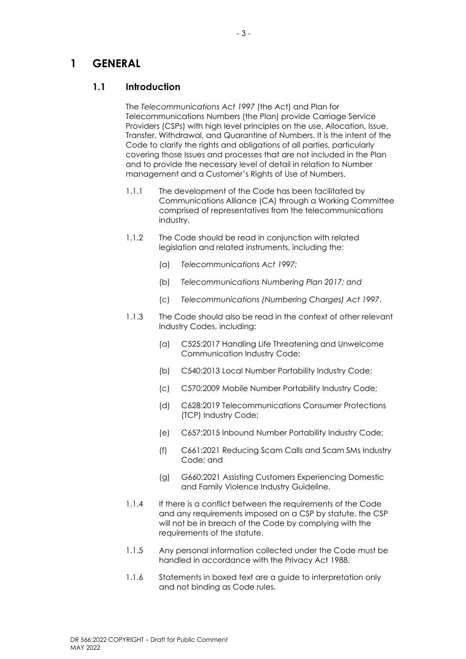## <span id="page-10-0"></span>**1 GENERAL**

### <span id="page-10-1"></span>**1.1 Introduction**

The *Telecommunications Act 1997* (the Act) and Plan for Telecommunications Numbers (the Plan) provide Carriage Service Providers (CSPs) with high level principles on the use, Allocation, Issue, Transfer, Withdrawal, and Quarantine of Numbers. It is the intent of the Code to clarify the rights and obligations of all parties, particularly covering those Issues and processes that are not included in the Plan and to provide the necessary level of detail in relation to Number management and a Customer's Rights of Use of Numbers.

- 1.1.1 The development of the Code has been facilitated by Communications Alliance (CA) through a Working Committee comprised of representatives from the telecommunications industry.
- 1.1.2 The Code should be read in conjunction with related legislation and related instruments, including the:
	- (a) *Telecommunications Act 1997;*
	- (b) *Telecommunications Numbering Plan 2017; and*
	- (c) *Telecommunications (Numbering Charges) Act 1997*.
- 1.1.3 The Code should also be read in the context of other relevant Industry Codes, including:
	- (a) C525:2017 Handling Life Threatening and Unwelcome Communication Industry Code;
	- (b) C540:2013 Local Number Portability Industry Code;
	- (c) C570:2009 Mobile Number Portability Industry Code;
	- (d) C628:2019 Telecommunications Consumer Protections (TCP) Industry Code;
	- (e) C657:2015 Inbound Number Portability Industry Code;
	- (f) C661:2021 Reducing Scam Calls and Scam SMs Industry Code; and
	- (g) G660:2021 Assisting Customers Experiencing Domestic and Family Violence Industry Guideline.
- 1.1.4 If there is a conflict between the requirements of the Code and any requirements imposed on a CSP by statute, the CSP will not be in breach of the Code by complying with the requirements of the statute.
- 1.1.5 Any personal information collected under the Code must be handled in accordance with the Privacy Act 1988.
- 1.1.6 Statements in boxed text are a guide to interpretation only and not binding as Code rules.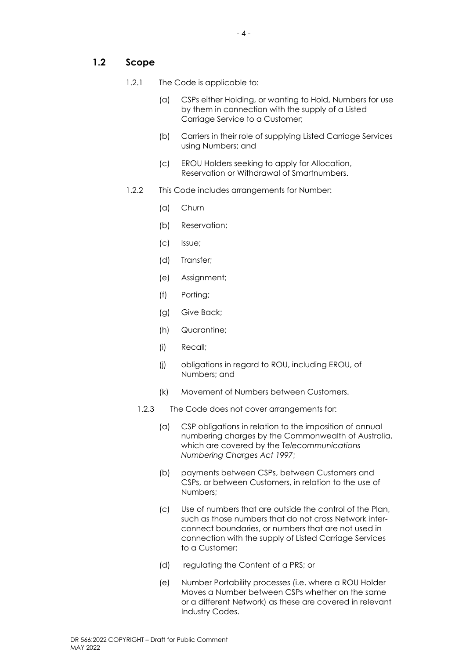### <span id="page-11-0"></span>**1.2 Scope**

- 1.2.1 The Code is applicable to:
	- (a) CSPs either Holding, or wanting to Hold, Numbers for use by them in connection with the supply of a Listed Carriage Service to a Customer;
	- (b) Carriers in their role of supplying Listed Carriage Services using Numbers; and
	- (c) EROU Holders seeking to apply for Allocation, Reservation or Withdrawal of Smartnumbers.
- 1.2.2 This Code includes arrangements for Number:
	- (a) Churn
	- (b) Reservation;
	- (c) Issue;
	- (d) Transfer;
	- (e) Assignment;
	- (f) Porting;
	- (g) Give Back;
	- (h) Quarantine;
	- (i) Recall;
	- (j) obligations in regard to ROU, including EROU, of Numbers; and
	- (k) Movement of Numbers between Customers.
	- 1.2.3 The Code does not cover arrangements for:
		- (a) CSP obligations in relation to the imposition of annual numbering charges by the Commonwealth of Australia, which are covered by the T*elecommunications Numbering Charges Act 1997*;
		- (b) payments between CSPs, between Customers and CSPs, or between Customers, in relation to the use of Numbers;
		- (c) Use of numbers that are outside the control of the Plan, such as those numbers that do not cross Network interconnect boundaries, or numbers that are not used in connection with the supply of Listed Carriage Services to a Customer;
		- (d) regulating the Content of a PRS; or
		- (e) Number Portability processes (i.e. where a ROU Holder Moves a Number between CSPs whether on the same or a different Network) as these are covered in relevant Industry Codes.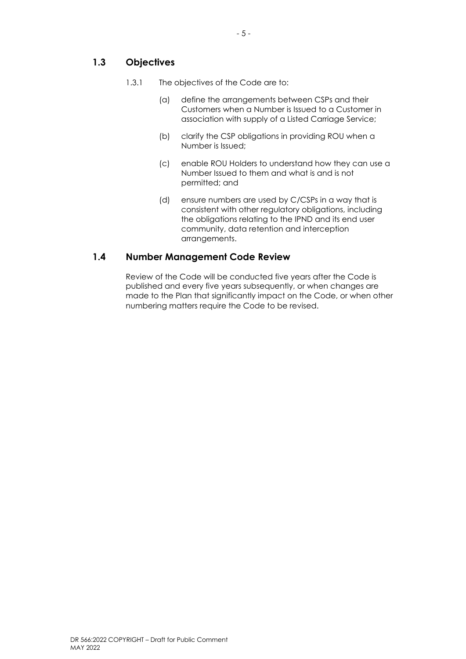### <span id="page-12-0"></span>**1.3 Objectives**

- 1.3.1 The objectives of the Code are to:
	- (a) define the arrangements between CSPs and their Customers when a Number is Issued to a Customer in association with supply of a Listed Carriage Service;
	- (b) clarify the CSP obligations in providing ROU when a Number is Issued;
	- (c) enable ROU Holders to understand how they can use a Number Issued to them and what is and is not permitted; and
	- (d) ensure numbers are used by C/CSPs in a way that is consistent with other regulatory obligations, including the obligations relating to the IPND and its end user community, data retention and interception arrangements.

### <span id="page-12-1"></span>**1.4 Number Management Code Review**

Review of the Code will be conducted five years after the Code is published and every five years subsequently, or when changes are made to the Plan that significantly impact on the Code, or when other numbering matters require the Code to be revised.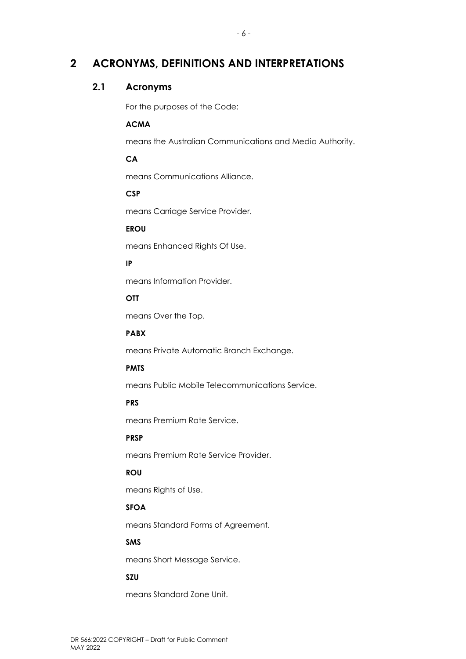## <span id="page-13-0"></span>**2 ACRONYMS, DEFINITIONS AND INTERPRETATIONS**

### <span id="page-13-1"></span>**2.1 Acronyms**

For the purposes of the Code:

#### **ACMA**

means the Australian Communications and Media Authority.

### **CA**

means Communications Alliance.

### **CSP**

means Carriage Service Provider.

### **EROU**

means Enhanced Rights Of Use.

### **IP**

means Information Provider.

### **OTT**

means Over the Top.

#### **PABX**

means Private Automatic Branch Exchange.

#### **PMTS**

means Public Mobile Telecommunications Service.

#### **PRS**

means Premium Rate Service.

#### **PRSP**

means Premium Rate Service Provider.

#### **ROU**

means Rights of Use.

#### **SFOA**

means Standard Forms of Agreement.

#### **SMS**

means Short Message Service.

#### **SZU**

means Standard Zone Unit.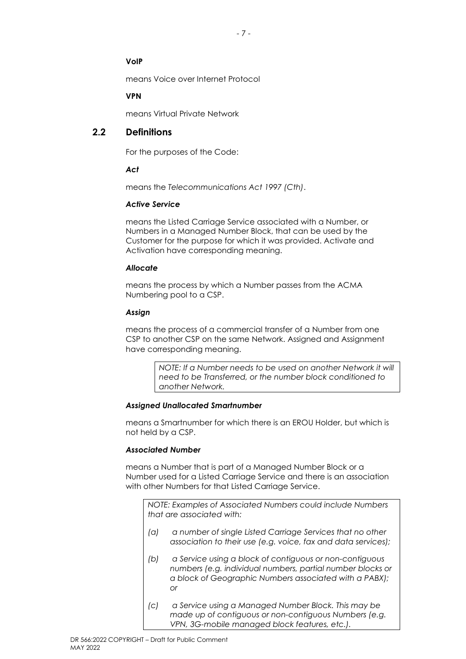- 7 -

### **VoIP**

means Voice over Internet Protocol

### **VPN**

means Virtual Private Network

### <span id="page-14-0"></span>**2.2 Definitions**

For the purposes of the Code:

### *Act*

means the *Telecommunications Act 1997 (Cth)*.

### *Active Service*

means the Listed Carriage Service associated with a Number, or Numbers in a Managed Number Block, that can be used by the Customer for the purpose for which it was provided. Activate and Activation have corresponding meaning.

### *Allocate*

means the process by which a Number passes from the ACMA Numbering pool to a CSP.

### *Assign*

means the process of a commercial transfer of a Number from one CSP to another CSP on the same Network. Assigned and Assignment have corresponding meaning.

> *NOTE: If a Number needs to be used on another Network it will need to be Transferred, or the number block conditioned to another Network.*

### *Assigned Unallocated Smartnumber*

means a Smartnumber for which there is an EROU Holder, but which is not held by a CSP.

### *Associated Number*

means a Number that is part of a Managed Number Block or a Number used for a Listed Carriage Service and there is an association with other Numbers for that Listed Carriage Service.

*NOTE: Examples of Associated Numbers could include Numbers that are associated with:*

- *(a) a number of single Listed Carriage Services that no other association to their use (e.g. voice, fax and data services);*
- *(b) a Service using a block of contiguous or non-contiguous numbers (e.g. individual numbers, partial number blocks or a block of Geographic Numbers associated with a PABX); or*
- *(c) a Service using a Managed Number Block. This may be made up of contiguous or non-contiguous Numbers (e.g. VPN, 3G-mobile managed block features, etc.).*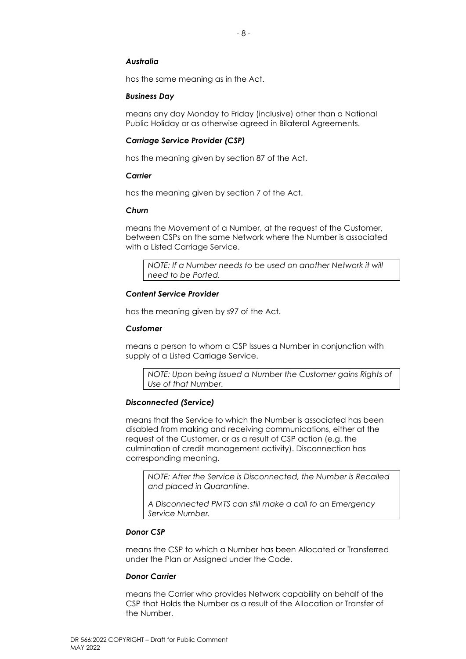#### *Australia*

has the same meaning as in the Act.

#### *Business Day*

means any day Monday to Friday (inclusive) other than a National Public Holiday or as otherwise agreed in Bilateral Agreements.

#### *Carriage Service Provider (CSP)*

has the meaning given by section 87 of the Act.

#### *Carrier*

has the meaning given by section 7 of the Act.

#### *Churn*

means the Movement of a Number, at the request of the Customer, between CSPs on the same Network where the Number is associated with a Listed Carriage Service.

*NOTE: If a Number needs to be used on another Network it will need to be Ported.*

#### *Content Service Provider*

has the meaning given by s97 of the Act.

#### *Customer*

means a person to whom a CSP Issues a Number in conjunction with supply of a Listed Carriage Service.

*NOTE: Upon being Issued a Number the Customer gains Rights of Use of that Number.*

#### *Disconnected (Service)*

means that the Service to which the Number is associated has been disabled from making and receiving communications, either at the request of the Customer, or as a result of CSP action (e.g. the culmination of credit management activity). Disconnection has corresponding meaning.

*NOTE: After the Service is Disconnected, the Number is Recalled and placed in Quarantine.* 

*A Disconnected PMTS can still make a call to an Emergency Service Number.* 

#### *Donor CSP*

means the CSP to which a Number has been Allocated or Transferred under the Plan or Assigned under the Code.

#### *Donor Carrier*

means the Carrier who provides Network capability on behalf of the CSP that Holds the Number as a result of the Allocation or Transfer of the Number.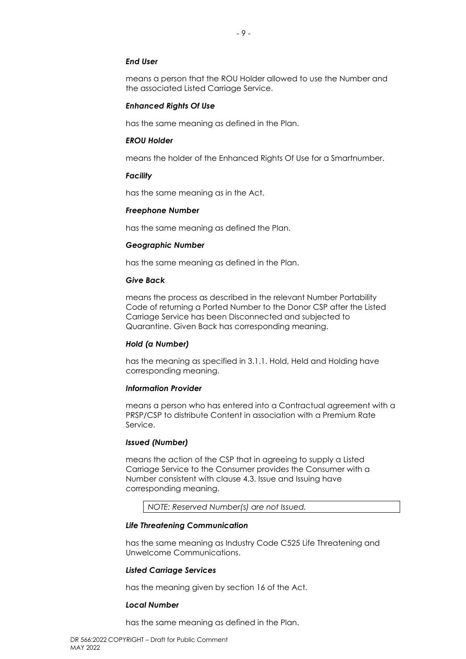#### *End User*

means a person that the ROU Holder allowed to use the Number and the associated Listed Carriage Service.

#### *Enhanced Rights Of Use*

has the same meaning as defined in the Plan.

#### *EROU Holder*

means the holder of the Enhanced Rights Of Use for a Smartnumber.

#### *Facility*

has the same meaning as in the Act.

#### *Freephone Number*

has the same meaning as defined the Plan.

#### *Geographic Number*

has the same meaning as defined in the Plan.

#### *Give Back*

means the process as described in the relevant Number Portability Code of returning a Ported Number to the Donor CSP after the Listed Carriage Service has been Disconnected and subjected to Quarantine. Given Back has corresponding meaning.

#### *Hold (a Number)*

has the meaning as specified in [3.1.1.](#page-23-2) Hold, Held and Holding have corresponding meaning.

#### *Information Provider*

means a person who has entered into a Contractual agreement with a PRSP/CSP to distribute Content in association with a Premium Rate Service.

#### *Issued (Number)*

means the action of the CSP that in agreeing to supply a Listed Carriage Service to the Consumer provides the Consumer with a Number consistent with clause [4.3.](#page-26-3) Issue and Issuing have corresponding meaning.

*NOTE: Reserved Number(s) are not Issued.*

#### *Life Threatening Communication*

has the same meaning as Industry Code C525 Life Threatening and Unwelcome Communications.

#### *Listed Carriage Services*

has the meaning given by section 16 of the Act.

#### *Local Number*

has the same meaning as defined in the Plan.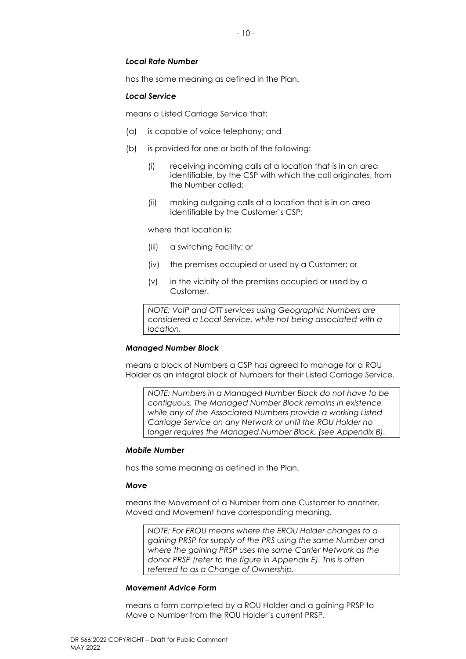#### *Local Rate Number*

has the same meaning as defined in the Plan.

#### *Local Service*

means a Listed Carriage Service that:

- (a) is capable of voice telephony; and
- (b) is provided for one or both of the following:
	- (i) receiving incoming calls at a location that is in an area identifiable, by the CSP with which the call originates, from the Number called;
	- (ii) making outgoing calls at a location that is in an area identifiable by the Customer's CSP;

where that location is:

- (iii) a switching Facility; or
- (iv) the premises occupied or used by a Customer; or
- (v) in the vicinity of the premises occupied or used by a Customer.

*NOTE: VoIP and OTT services using Geographic Numbers are considered a Local Service, while not being associated with a location.* 

#### *Managed Number Block*

means a block of Numbers a CSP has agreed to manage for a ROU Holder as an integral block of Numbers for their Listed Carriage Service.

*NOTE: Numbers in a Managed Number Block do not have to be contiguous. The Managed Number Block remains in existence while any of the Associated Numbers provide a working Listed Carriage Service on any Network or until the ROU Holder no longer requires the Managed Number Block. (see Appendix B).* 

#### *Mobile Number*

has the same meaning as defined in the Plan.

#### *Move*

means the Movement of a Number from one Customer to another. Moved and Movement have corresponding meaning.

*NOTE: For EROU means where the EROU Holder changes to a gaining PRSP for supply of the PRS using the same Number and where the gaining PRSP uses the same Carrier Network as the donor PRSP (refer to the figure in Appendix E). This is often referred to as a Change of Ownership.* 

#### *Movement Advice Form*

means a form completed by a ROU Holder and a gaining PRSP to Move a Number from the ROU Holder's current PRSP.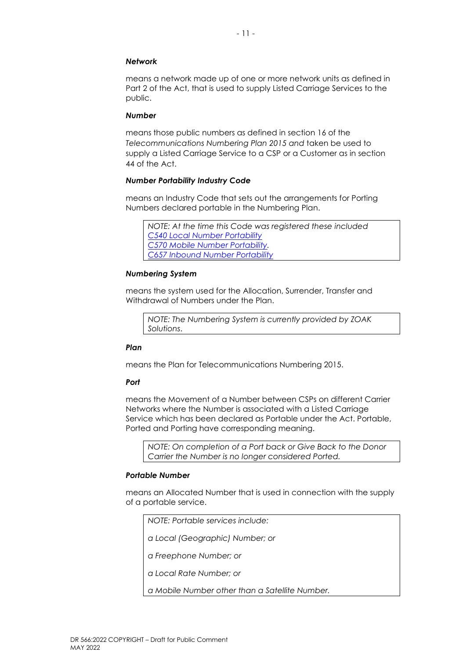#### *Network*

means a network made up of one or more network units as defined in Part 2 of the Act, that is used to supply Listed Carriage Services to the public.

#### *Number*

means those public numbers as defined in section 16 of the *Telecommunications Numbering Plan 2015 and* taken be used to supply a Listed Carriage Service to a CSP or a Customer as in section 44 of the Act.

#### *Number Portability Industry Code*

means an Industry Code that sets out the arrangements for Porting Numbers declared portable in the Numbering Plan.

```
NOTE: At the time this Code was registered these included
C540 Local Number Portability
C570 Mobile Number Portability. 
C657 Inbound Number Portability
```
#### *Numbering System*

means the system used for the Allocation, Surrender, Transfer and Withdrawal of Numbers under the Plan.

*NOTE: The Numbering System is currently provided by ZOAK Solutions*.

#### *Plan*

means the Plan for Telecommunications Numbering 2015.

#### *Port*

means the Movement of a Number between CSPs on different Carrier Networks where the Number is associated with a Listed Carriage Service which has been declared as Portable under the Act. Portable, Ported and Porting have corresponding meaning.

*NOTE: On completion of a Port back or Give Back to the Donor Carrier the Number is no longer considered Ported.* 

#### *Portable Number*

means an Allocated Number that is used in connection with the supply of a portable service.

*NOTE: Portable services include:*

*a Local (Geographic) Number; or*

*a Freephone Number; or*

*a Local Rate Number; or*

*a Mobile Number other than a Satellite Number.*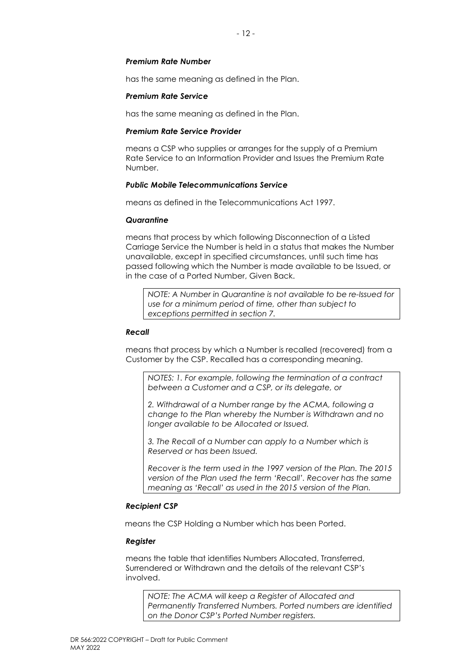#### *Premium Rate Number*

has the same meaning as defined in the Plan.

#### *Premium Rate Service*

has the same meaning as defined in the Plan.

#### *Premium Rate Service Provider*

means a CSP who supplies or arranges for the supply of a Premium Rate Service to an Information Provider and Issues the Premium Rate Number.

#### *Public Mobile Telecommunications Service*

means as defined in the Telecommunications Act 1997.

#### *Quarantine*

means that process by which following Disconnection of a Listed Carriage Service the Number is held in a status that makes the Number unavailable, except in specified circumstances, until such time has passed following which the Number is made available to be Issued, or in the case of a Ported Number, Given Back.

*NOTE: A Number in Quarantine is not available to be re-Issued for use for a minimum period of time, other than subject to exceptions permitted in section 7.*

#### *Recall*

means that process by which a Number is recalled (recovered) from a Customer by the CSP. Recalled has a corresponding meaning.

*NOTES: 1. For example, following the termination of a contract between a Customer and a CSP, or its delegate, or*

*2. Withdrawal of a Number range by the ACMA, following a change to the Plan whereby the Number is Withdrawn and no longer available to be Allocated or Issued.*

*3. The Recall of a Number can apply to a Number which is Reserved or has been Issued.*

*Recover is the term used in the 1997 version of the Plan. The 2015 version of the Plan used the term 'Recall'. Recover has the same meaning as 'Recall' as used in the 2015 version of the Plan.* 

#### *Recipient CSP*

means the CSP Holding a Number which has been Ported.

#### *Register*

means the table that identifies Numbers Allocated, Transferred, Surrendered or Withdrawn and the details of the relevant CSP's involved.

*NOTE: The ACMA will keep a Register of Allocated and Permanently Transferred Numbers. Ported numbers are identified on the Donor CSP's Ported Number registers.*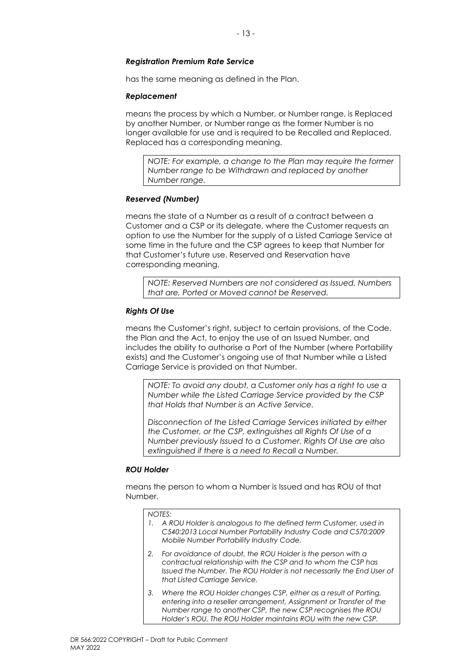## *Registration Premium Rate Service*

has the same meaning as defined in the Plan.

### *Replacement*

means the process by which a Number, or Number range, is Replaced by another Number, or Number range as the former Number is no longer available for use and is required to be Recalled and Replaced. Replaced has a corresponding meaning.

*NOTE: For example, a change to the Plan may require the former Number range to be Withdrawn and replaced by another Number range.* 

### *Reserved (Number)*

means the state of a Number as a result of a contract between a Customer and a CSP or its delegate, where the Customer requests an option to use the Number for the supply of a Listed Carriage Service at some time in the future and the CSP agrees to keep that Number for that Customer's future use. Reserved and Reservation have corresponding meaning.

*NOTE: Reserved Numbers are not considered as Issued. Numbers that are, Ported or Moved cannot be Reserved.* 

### *Rights Of Use*

means the Customer's right, subject to certain provisions, of the Code, the Plan and the Act, to enjoy the use of an Issued Number, and includes the ability to authorise a Port of the Number (where Portability exists) and the Customer's ongoing use of that Number while a Listed Carriage Service is provided on that Number.

*NOTE: To avoid any doubt, a Customer only has a right to use a Number while the Listed Carriage Service provided by the CSP that Holds that Number is an Active Service.* 

*Disconnection of the Listed Carriage Services initiated by either the Customer, or the CSP, extinguishes all Rights Of Use of a Number previously Issued to a Customer. Rights Of Use are also extinguished if there is a need to Recall a Number.*

### *ROU Holder*

means the person to whom a Number is Issued and has ROU of that Number.

#### *NOTES:*

- *1. A ROU Holder is analogous to the defined term Customer, used in C540:2013 Local Number Portability Industry Code and C570:2009 Mobile Number Portability Industry Code.*
- *2. For avoidance of doubt, the ROU Holder is the person with a contractual relationship with the CSP and to whom the CSP has Issued the Number. The ROU Holder is not necessarily the End User of that Listed Carriage Service.*
- *3. Where the ROU Holder changes CSP, either as a result of Porting, entering into a reseller arrangement, Assignment or Transfer of the Number range to another CSP, the new CSP recognises the ROU Holder's ROU. The ROU Holder maintains ROU with the new CSP.*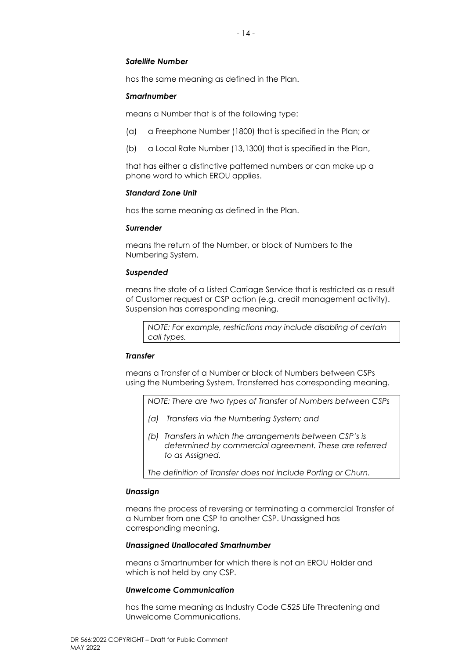#### *Satellite Number*

has the same meaning as defined in the Plan.

#### *Smartnumber*

means a Number that is of the following type:

- (a) a Freephone Number (1800) that is specified in the Plan; or
- (b) a Local Rate Number (13,1300) that is specified in the Plan,

that has either a distinctive patterned numbers or can make up a phone word to which EROU applies.

#### *Standard Zone Unit*

has the same meaning as defined in the Plan.

#### *Surrender*

means the return of the Number, or block of Numbers to the Numbering System.

#### *Suspended*

means the state of a Listed Carriage Service that is restricted as a result of Customer request or CSP action (e.g. credit management activity). Suspension has corresponding meaning.

*NOTE: For example, restrictions may include disabling of certain call types.* 

#### *Transfer*

means a Transfer of a Number or block of Numbers between CSPs using the Numbering System. Transferred has corresponding meaning.

*NOTE: There are two types of Transfer of Numbers between CSPs*

- *(a) Transfers via the Numbering System; and*
- *(b) Transfers in which the arrangements between CSP's is determined by commercial agreement. These are referred to as Assigned.*

*The definition of Transfer does not include Porting or Churn.* 

#### *Unassign*

means the process of reversing or terminating a commercial Transfer of a Number from one CSP to another CSP. Unassigned has corresponding meaning.

#### *Unassigned Unallocated Smartnumber*

means a Smartnumber for which there is not an EROU Holder and which is not held by any CSP.

#### *Unwelcome Communication*

has the same meaning as Industry Code C525 Life Threatening and Unwelcome Communications.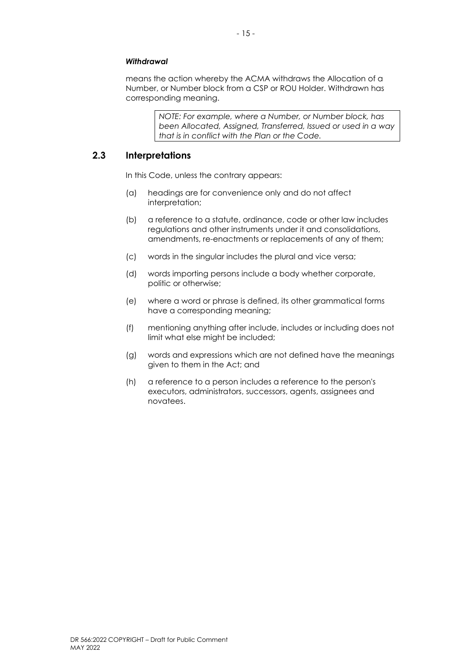#### *Withdrawal*

means the action whereby the ACMA withdraws the Allocation of a Number, or Number block from a CSP or ROU Holder. Withdrawn has corresponding meaning.

> *NOTE: For example, where a Number, or Number block, has been Allocated, Assigned, Transferred, Issued or used in a way that is in conflict with the Plan or the Code.*

### <span id="page-22-0"></span>**2.3 Interpretations**

In this Code, unless the contrary appears:

- (a) headings are for convenience only and do not affect interpretation;
- (b) a reference to a statute, ordinance, code or other law includes regulations and other instruments under it and consolidations, amendments, re-enactments or replacements of any of them;
- (c) words in the singular includes the plural and vice versa;
- (d) words importing persons include a body whether corporate, politic or otherwise;
- (e) where a word or phrase is defined, its other grammatical forms have a corresponding meaning;
- (f) mentioning anything after include, includes or including does not limit what else might be included;
- (g) words and expressions which are not defined have the meanings given to them in the Act; and
- (h) a reference to a person includes a reference to the person's executors, administrators, successors, agents, assignees and novatees.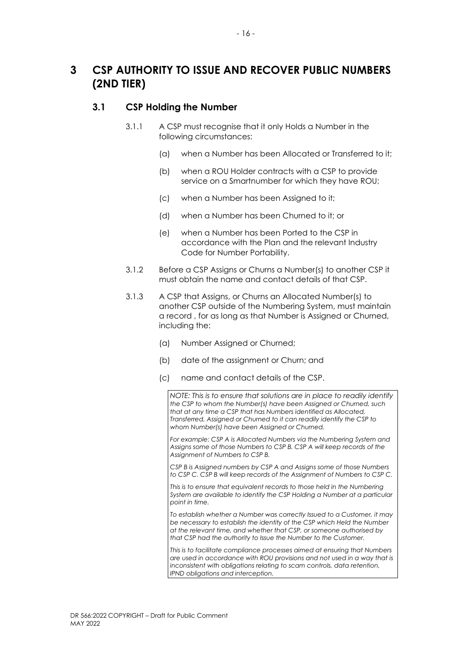## <span id="page-23-0"></span>**3 CSP AUTHORITY TO ISSUE AND RECOVER PUBLIC NUMBERS (2ND TIER)**

### <span id="page-23-2"></span><span id="page-23-1"></span>**3.1 CSP Holding the Number**

- 3.1.1 A CSP must recognise that it only Holds a Number in the following circumstances:
	- (a) when a Number has been Allocated or Transferred to it;
	- (b) when a ROU Holder contracts with a CSP to provide service on a Smartnumber for which they have ROU;
	- (c) when a Number has been Assigned to it;
	- (d) when a Number has been Churned to it; or
	- (e) when a Number has been Ported to the CSP in accordance with the Plan and the relevant Industry Code for Number Portability.
- 3.1.2 Before a CSP Assigns or Churns a Number(s) to another CSP it must obtain the name and contact details of that CSP.
- 3.1.3 A CSP that Assigns, or Churns an Allocated Number(s) to another CSP outside of the Numbering System, must maintain a record , for as long as that Number is Assigned or Churned, including the:
	- (a) Number Assigned or Churned;
	- (b) date of the assignment or Churn; and
	- (c) name and contact details of the CSP.

*NOTE: This is to ensure that solutions are in place to readily identify the CSP to whom the Number(s) have been Assigned or Churned, such that at any time a CSP that has Numbers identified as Allocated, Transferred, Assigned or Churned to it can readily identify the CSP to whom Number(s) have been Assigned or Churned.*

*For example: CSP A is Allocated Numbers via the Numbering System and Assigns some of those Numbers to CSP B. CSP A will keep records of the Assignment of Numbers to CSP B.*

*CSP B is Assigned numbers by CSP A and Assigns some of those Numbers to CSP C. CSP B will keep records of the Assignment of Numbers to CSP C.* 

*This is to ensure that equivalent records to those held in the Numbering System are available to identify the CSP Holding a Number at a particular point in time.*

*To establish whether a Number was correctly Issued to a Customer, it may be necessary to establish the identity of the CSP which Held the Number at the relevant time, and whether that CSP, or someone authorised by that CSP had the authority to Issue the Number to the Customer.*

*This is to facilitate compliance processes aimed at ensuring that Numbers are used in accordance with ROU provisions and not used in a way that is inconsistent with obligations relating to scam controls, data retention, IPND obligations and interception.*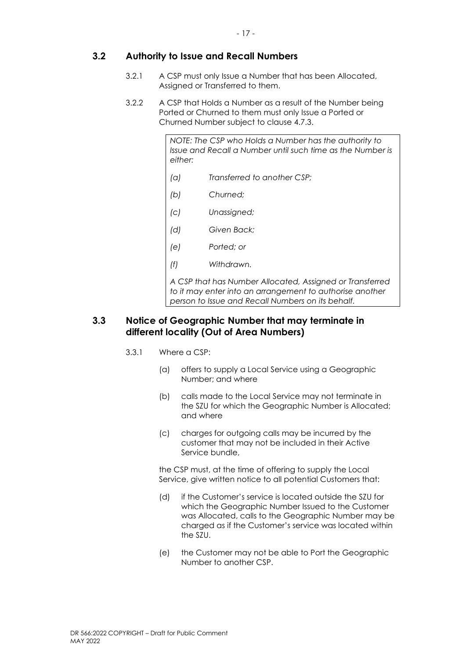- 17 -

### <span id="page-24-0"></span>**3.2 Authority to Issue and Recall Numbers**

- 3.2.1 A CSP must only Issue a Number that has been Allocated, Assigned or Transferred to them.
- 3.2.2 A CSP that Holds a Number as a result of the Number being Ported or Churned to them must only Issue a Ported or Churned Number subject to clause 4.7.3.

*NOTE: The CSP who Holds a Number has the authority to Issue and Recall a Number until such time as the Number is either:* 

- *(a) Transferred to another CSP;*
- *(b) Churned;*
- *(c) Unassigned;*
- *(d) Given Back;*
- *(e) Ported; or*
- *(f) Withdrawn.*

*A CSP that has Number Allocated, Assigned or Transferred to it may enter into an arrangement to authorise another person to Issue and Recall Numbers on its behalf.* 

### <span id="page-24-1"></span>**3.3 Notice of Geographic Number that may terminate in different locality (Out of Area Numbers)**

- 3.3.1 Where a CSP:
	- (a) offers to supply a Local Service using a Geographic Number; and where
	- (b) calls made to the Local Service may not terminate in the SZU for which the Geographic Number is Allocated; and where
	- (c) charges for outgoing calls may be incurred by the customer that may not be included in their Active Service bundle,

the CSP must, at the time of offering to supply the Local Service, give written notice to all potential Customers that:

- (d) if the Customer's service is located outside the SZU for which the Geographic Number Issued to the Customer was Allocated, calls to the Geographic Number may be charged as if the Customer's service was located within the SZU.
- (e) the Customer may not be able to Port the Geographic Number to another CSP.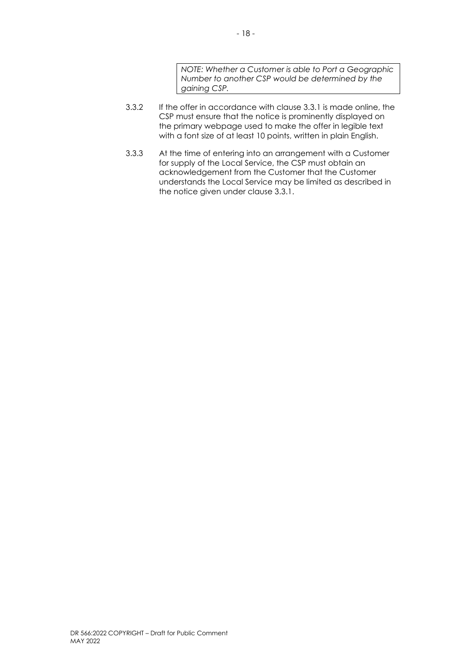*NOTE: Whether a Customer is able to Port a Geographic Number to another CSP would be determined by the gaining CSP.*

- 3.3.2 If the offer in accordance with clause 3.3.1 is made online, the CSP must ensure that the notice is prominently displayed on the primary webpage used to make the offer in legible text with a font size of at least 10 points, written in plain English.
- 3.3.3 At the time of entering into an arrangement with a Customer for supply of the Local Service, the CSP must obtain an acknowledgement from the Customer that the Customer understands the Local Service may be limited as described in the notice given under clause 3.3.1.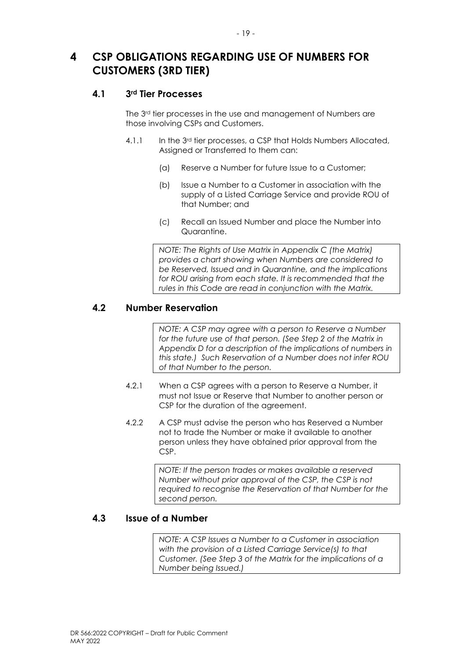- 19 -

## <span id="page-26-0"></span>**4 CSP OBLIGATIONS REGARDING USE OF NUMBERS FOR CUSTOMERS (3RD TIER)**

### <span id="page-26-1"></span>**4.1 3rd Tier Processes**

The 3<sup>rd</sup> tier processes in the use and management of Numbers are those involving CSPs and Customers.

- 4.1.1 In the 3rd tier processes, a CSP that Holds Numbers Allocated, Assigned or Transferred to them can:
	- (a) Reserve a Number for future Issue to a Customer;
	- (b) Issue a Number to a Customer in association with the supply of a Listed Carriage Service and provide ROU of that Number; and
	- (c) Recall an Issued Number and place the Number into Quarantine.

*NOTE: The Rights of Use Matrix in Appendix C (the Matrix) provides a chart showing when Numbers are considered to be Reserved, Issued and in Quarantine, and the implications for ROU arising from each state. It is recommended that the rules in this Code are read in conjunction with the Matrix.* 

### <span id="page-26-2"></span>**4.2 Number Reservation**

*NOTE: A CSP may agree with a person to Reserve a Number* for the future use of that person. (See Step 2 of the Matrix in *Appendix D for a description of the implications of numbers in this state.) Such Reservation of a Number does not infer ROU of that Number to the person.* 

- 4.2.1 When a CSP agrees with a person to Reserve a Number, it must not Issue or Reserve that Number to another person or CSP for the duration of the agreement.
- 4.2.2 A CSP must advise the person who has Reserved a Number not to trade the Number or make it available to another person unless they have obtained prior approval from the CSP.

*NOTE: If the person trades or makes available a reserved Number without prior approval of the CSP, the CSP is not required to recognise the Reservation of that Number for the second person.* 

### <span id="page-26-3"></span>**4.3 Issue of a Number**

*NOTE: A CSP Issues a Number to a Customer in association with the provision of a Listed Carriage Service(s) to that Customer. (See Step 3 of the Matrix for the implications of a Number being Issued.)*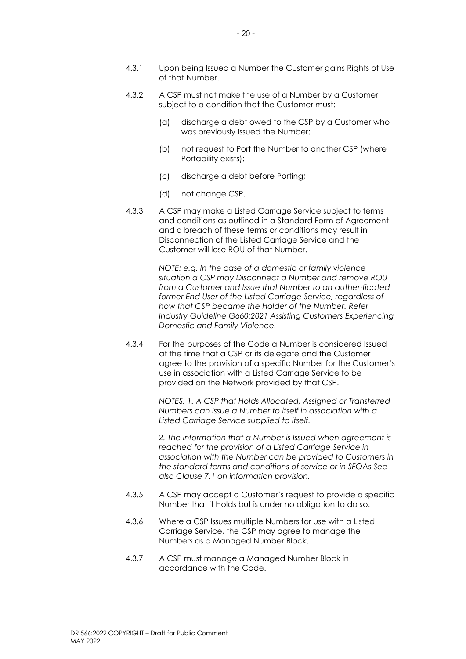- 4.3.1 Upon being Issued a Number the Customer gains Rights of Use of that Number.
- 4.3.2 A CSP must not make the use of a Number by a Customer subject to a condition that the Customer must:
	- (a) discharge a debt owed to the CSP by a Customer who was previously Issued the Number;
	- (b) not request to Port the Number to another CSP (where Portability exists);
	- (c) discharge a debt before Porting;
	- (d) not change CSP.
- 4.3.3 A CSP may make a Listed Carriage Service subject to terms and conditions as outlined in a Standard Form of Agreement and a breach of these terms or conditions may result in Disconnection of the Listed Carriage Service and the Customer will lose ROU of that Number.

*NOTE: e.g. In the case of a domestic or family violence situation a CSP may Disconnect a Number and remove ROU from a Customer and Issue that Number to an authenticated former End User of the Listed Carriage Service, regardless of how that CSP became the Holder of the Number. Refer Industry Guideline G660:2021 Assisting Customers Experiencing Domestic and Family Violence.* 

4.3.4 For the purposes of the Code a Number is considered Issued at the time that a CSP or its delegate and the Customer agree to the provision of a specific Number for the Customer's use in association with a Listed Carriage Service to be provided on the Network provided by that CSP.

> *NOTES: 1. A CSP that Holds Allocated, Assigned or Transferred Numbers can Issue a Number to itself in association with a Listed Carriage Service supplied to itself.*

> *2. The information that a Number is Issued when agreement is reached for the provision of a Listed Carriage Service in association with the Number can be provided to Customers in the standard terms and conditions of service or in SFOAs See also Clause [7.1](#page-43-1) on information provision.*

- 4.3.5 A CSP may accept a Customer's request to provide a specific Number that it Holds but is under no obligation to do so.
- 4.3.6 Where a CSP Issues multiple Numbers for use with a Listed Carriage Service, the CSP may agree to manage the Numbers as a Managed Number Block.
- 4.3.7 A CSP must manage a Managed Number Block in accordance with the Code.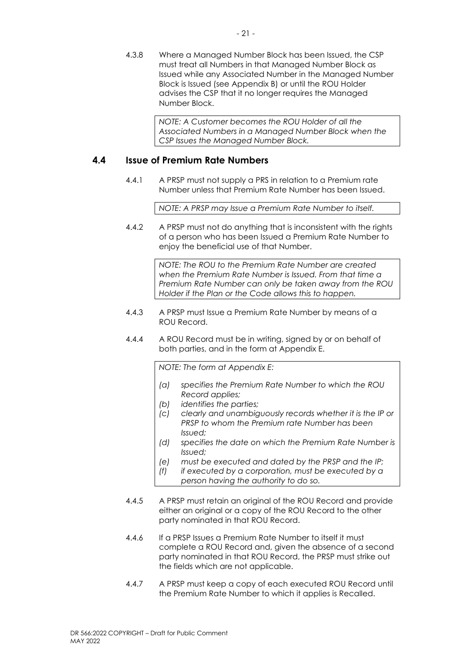4.3.8 Where a Managed Number Block has been Issued, the CSP must treat all Numbers in that Managed Number Block as Issued while any Associated Number in the Managed Number Block is Issued (see Appendix B) or until the ROU Holder advises the CSP that it no longer requires the Managed Number Block.

> *NOTE: A Customer becomes the ROU Holder of all the Associated Numbers in a Managed Number Block when the CSP Issues the Managed Number Block.*

### <span id="page-28-0"></span>**4.4 Issue of Premium Rate Numbers**

4.4.1 A PRSP must not supply a PRS in relation to a Premium rate Number unless that Premium Rate Number has been Issued.

*NOTE: A PRSP may Issue a Premium Rate Number to itself.* 

4.4.2 A PRSP must not do anything that is inconsistent with the rights of a person who has been Issued a Premium Rate Number to enjoy the beneficial use of that Number.

> *NOTE: The ROU to the Premium Rate Number are created when the Premium Rate Number is Issued. From that time a Premium Rate Number can only be taken away from the ROU Holder if the Plan or the Code allows this to happen.*

- 4.4.3 A PRSP must Issue a Premium Rate Number by means of a ROU Record.
- 4.4.4 A ROU Record must be in writing, signed by or on behalf of both parties, and in the form at Appendix E.

*NOTE: The form at Appendix E:* 

- *(a) specifies the Premium Rate Number to which the ROU Record applies;*
- *(b) identifies the parties;*
- *(c) clearly and unambiguously records whether it is the IP or PRSP to whom the Premium rate Number has been Issued;*
- *(d) specifies the date on which the Premium Rate Number is Issued;*
- *(e) must be executed and dated by the PRSP and the IP;*
- *(f) if executed by a corporation, must be executed by a person having the authority to do so.*
- 4.4.5 A PRSP must retain an original of the ROU Record and provide either an original or a copy of the ROU Record to the other party nominated in that ROU Record.
- 4.4.6 If a PRSP Issues a Premium Rate Number to itself it must complete a ROU Record and, given the absence of a second party nominated in that ROU Record, the PRSP must strike out the fields which are not applicable.
- 4.4.7 A PRSP must keep a copy of each executed ROU Record until the Premium Rate Number to which it applies is Recalled.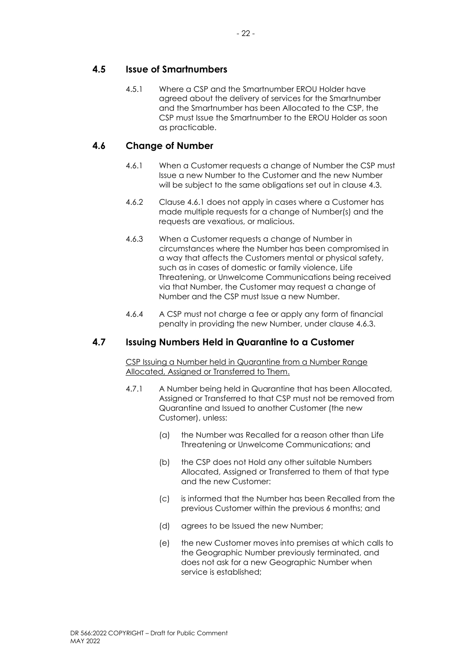### <span id="page-29-0"></span>**4.5 Issue of Smartnumbers**

4.5.1 Where a CSP and the Smartnumber EROU Holder have agreed about the delivery of services for the Smartnumber and the Smartnumber has been Allocated to the CSP, the CSP must Issue the Smartnumber to the EROU Holder as soon as practicable.

### <span id="page-29-3"></span><span id="page-29-1"></span>**4.6 Change of Number**

- 4.6.1 When a Customer requests a change of Number the CSP must Issue a new Number to the Customer and the new Number will be subject to the same obligations set out in clause [4.3.](#page-26-3)
- 4.6.2 Clause [4.6.1](#page-29-3) does not apply in cases where a Customer has made multiple requests for a change of Number(s) and the requests are vexatious, or malicious.
- 4.6.3 When a Customer requests a change of Number in circumstances where the Number has been compromised in a way that affects the Customers mental or physical safety, such as in cases of domestic or family violence, Life Threatening, or Unwelcome Communications being received via that Number, the Customer may request a change of Number and the CSP must Issue a new Number.
- 4.6.4 A CSP must not charge a fee or apply any form of financial penalty in providing the new Number, under clause 4.6.3.

### <span id="page-29-2"></span>**4.7 Issuing Numbers Held in Quarantine to a Customer**

CSP Issuing a Number held in Quarantine from a Number Range Allocated, Assigned or Transferred to Them.

- 4.7.1 A Number being held in Quarantine that has been Allocated, Assigned or Transferred to that CSP must not be removed from Quarantine and Issued to another Customer (the new Customer), unless:
	- (a) the Number was Recalled for a reason other than Life Threatening or Unwelcome Communications; and
	- (b) the CSP does not Hold any other suitable Numbers Allocated, Assigned or Transferred to them of that type and the new Customer:
	- (c) is informed that the Number has been Recalled from the previous Customer within the previous 6 months; and
	- (d) agrees to be Issued the new Number;
	- (e) the new Customer moves into premises at which calls to the Geographic Number previously terminated, and does not ask for a new Geographic Number when service is established;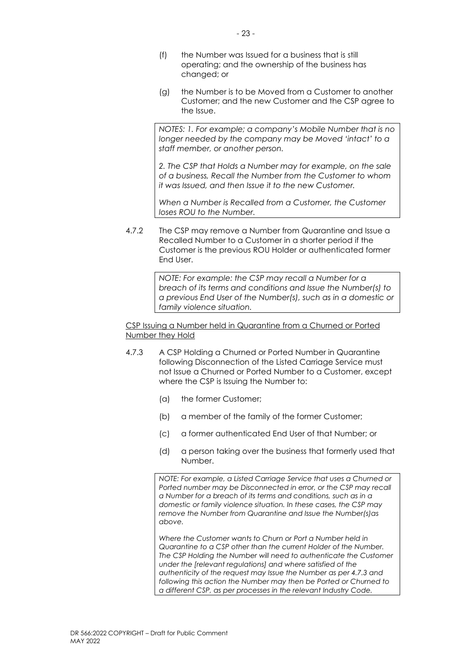- (f) the Number was Issued for a business that is still operating; and the ownership of the business has changed; or
- (g) the Number is to be Moved from a Customer to another Customer; and the new Customer and the CSP agree to the Issue.

*NOTES: 1. For example; a company's Mobile Number that is no longer needed by the company may be Moved 'intact' to a staff member, or another person.*

*2. The CSP that Holds a Number may for example, on the sale of a business, Recall the Number from the Customer to whom it was Issued, and then Issue it to the new Customer.* 

*When a Number is Recalled from a Customer, the Customer loses ROU to the Number.*

4.7.2 The CSP may remove a Number from Quarantine and Issue a Recalled Number to a Customer in a shorter period if the Customer is the previous ROU Holder or authenticated former End User.

> *NOTE: For example: the CSP may recall a Number for a breach of its terms and conditions and Issue the Number(s) to a previous End User of the Number(s), such as in a domestic or family violence situation.*

CSP Issuing a Number held in Quarantine from a Churned or Ported Number they Hold

- 4.7.3 A CSP Holding a Churned or Ported Number in Quarantine following Disconnection of the Listed Carriage Service must not Issue a Churned or Ported Number to a Customer, except where the CSP is Issuing the Number to:
	- (a) the former Customer;
	- (b) a member of the family of the former Customer;
	- (c) a former authenticated End User of that Number; or
	- (d) a person taking over the business that formerly used that Number.

*NOTE: For example, a Listed Carriage Service that uses a Churned or Ported number may be Disconnected in error, or the CSP may recall a Number for a breach of its terms and conditions, such as in a domestic or family violence situation. In these cases, the CSP may remove the Number from Quarantine and Issue the Number(s)as above.* 

*Where the Customer wants to Churn or Port a Number held in Quarantine to a CSP other than the current Holder of the Number. The CSP Holding the Number will need to authenticate the Customer under the [relevant regulations] and where satisfied of the authenticity of the request may Issue the Number as per 4.7.3 and following this action the Number may then be Ported or Churned to a different CSP, as per processes in the relevant Industry Code.*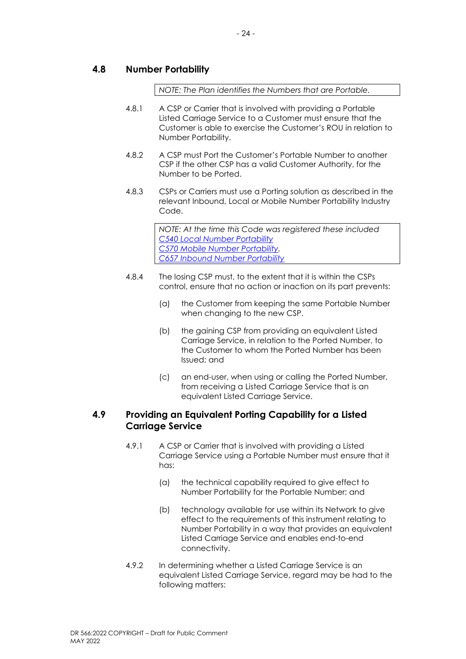### <span id="page-31-0"></span>**4.8 Number Portability**

*NOTE: The Plan identifies the Numbers that are Portable.*

- 4.8.1 A CSP or Carrier that is involved with providing a Portable Listed Carriage Service to a Customer must ensure that the Customer is able to exercise the Customer's ROU in relation to Number Portability.
- 4.8.2 A CSP must Port the Customer's Portable Number to another CSP if the other CSP has a valid Customer Authority, for the Number to be Ported.
- 4.8.3 CSPs or Carriers must use a Porting solution as described in the relevant Inbound, Local or Mobile Number Portability Industry Code.

*NOTE: At the time this Code was registered these included [C540 Local Number Portability](https://www.commsalliance.com.au/Documents/all/codes/c540) [C570 Mobile Number Portability.](https://www.commsalliance.com.au/Documents/all/codes/c570) [C657 Inbound Number Portability](https://www.commsalliance.com.au/Documents/all/codes/c657)*

- 4.8.4 The losing CSP must, to the extent that it is within the CSPs control, ensure that no action or inaction on its part prevents:
	- (a) the Customer from keeping the same Portable Number when changing to the new CSP.
	- (b) the gaining CSP from providing an equivalent Listed Carriage Service, in relation to the Ported Number, to the Customer to whom the Ported Number has been Issued; and
	- (c) an end-user, when using or calling the Ported Number, from receiving a Listed Carriage Service that is an equivalent Listed Carriage Service.

### <span id="page-31-1"></span>**4.9 Providing an Equivalent Porting Capability for a Listed Carriage Service**

- 4.9.1 A CSP or Carrier that is involved with providing a Listed Carriage Service using a Portable Number must ensure that it has:
	- (a) the technical capability required to give effect to Number Portability for the Portable Number; and
	- (b) technology available for use within its Network to give effect to the requirements of this instrument relating to Number Portability in a way that provides an equivalent Listed Carriage Service and enables end-to-end connectivity.
- 4.9.2 In determining whether a Listed Carriage Service is an equivalent Listed Carriage Service, regard may be had to the following matters: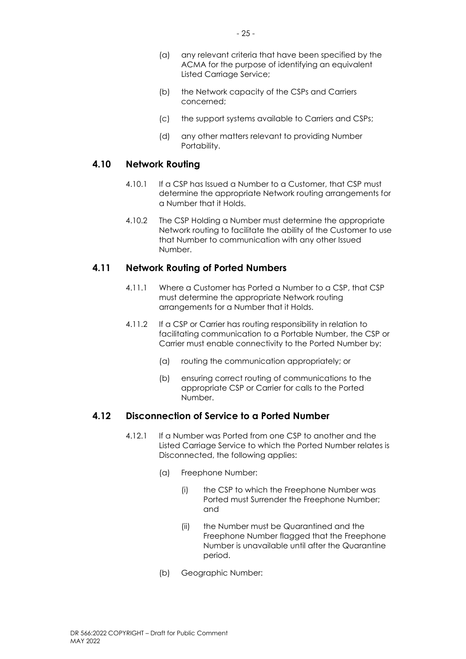- (a) any relevant criteria that have been specified by the ACMA for the purpose of identifying an equivalent Listed Carriage Service;
- (b) the Network capacity of the CSPs and Carriers concerned;
- (c) the support systems available to Carriers and CSPs;
- (d) any other matters relevant to providing Number Portability.

### <span id="page-32-0"></span>**4.10 Network Routing**

- 4.10.1 If a CSP has Issued a Number to a Customer, that CSP must determine the appropriate Network routing arrangements for a Number that it Holds.
- 4.10.2 The CSP Holding a Number must determine the appropriate Network routing to facilitate the ability of the Customer to use that Number to communication with any other Issued Number.

### <span id="page-32-1"></span>**4.11 Network Routing of Ported Numbers**

- 4.11.1 Where a Customer has Ported a Number to a CSP, that CSP must determine the appropriate Network routing arrangements for a Number that it Holds.
- 4.11.2 If a CSP or Carrier has routing responsibility in relation to facilitating communication to a Portable Number, the CSP or Carrier must enable connectivity to the Ported Number by:
	- (a) routing the communication appropriately; or
	- (b) ensuring correct routing of communications to the appropriate CSP or Carrier for calls to the Ported Number.

### <span id="page-32-2"></span>**4.12 Disconnection of Service to a Ported Number**

- 4.12.1 If a Number was Ported from one CSP to another and the Listed Carriage Service to which the Ported Number relates is Disconnected, the following applies:
	- (a) Freephone Number:
		- (i) the CSP to which the Freephone Number was Ported must Surrender the Freephone Number; and
		- (ii) the Number must be Quarantined and the Freephone Number flagged that the Freephone Number is unavailable until after the Quarantine period.
	- (b) Geographic Number: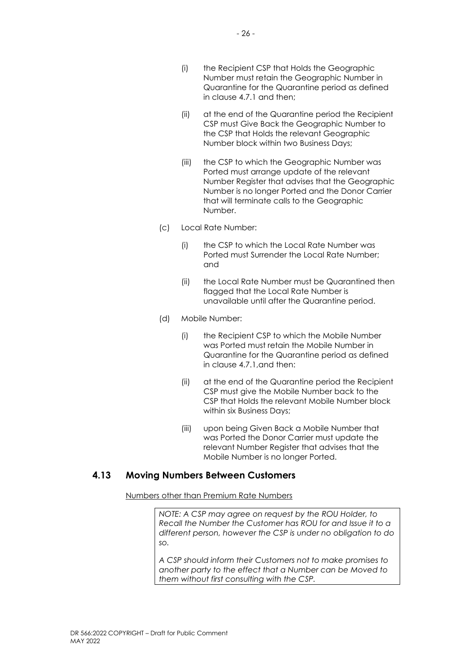- (i) the Recipient CSP that Holds the Geographic Number must retain the Geographic Number in Quarantine for the Quarantine period as defined in clause 4.7.1 and then;
- (ii) at the end of the Quarantine period the Recipient CSP must Give Back the Geographic Number to the CSP that Holds the relevant Geographic Number block within two Business Days;
- (iii) the CSP to which the Geographic Number was Ported must arrange update of the relevant Number Register that advises that the Geographic Number is no longer Ported and the Donor Carrier that will terminate calls to the Geographic Number.
- (c) Local Rate Number:
	- (i) the CSP to which the Local Rate Number was Ported must Surrender the Local Rate Number; and
	- (ii) the Local Rate Number must be Quarantined then flagged that the Local Rate Number is unavailable until after the Quarantine period.
- (d) Mobile Number:
	- (i) the Recipient CSP to which the Mobile Number was Ported must retain the Mobile Number in Quarantine for the Quarantine period as defined in clause 4.7.1,and then:
	- (ii) at the end of the Quarantine period the Recipient CSP must give the Mobile Number back to the CSP that Holds the relevant Mobile Number block within six Business Days;
	- (iii) upon being Given Back a Mobile Number that was Ported the Donor Carrier must update the relevant Number Register that advises that the Mobile Number is no longer Ported.

### <span id="page-33-0"></span>**4.13 Moving Numbers Between Customers**

Numbers other than Premium Rate Numbers

*NOTE: A CSP may agree on request by the ROU Holder, to Recall the Number the Customer has ROU for and Issue it to a different person, however the CSP is under no obligation to do so.* 

*A CSP should inform their Customers not to make promises to another party to the effect that a Number can be Moved to them without first consulting with the CSP.*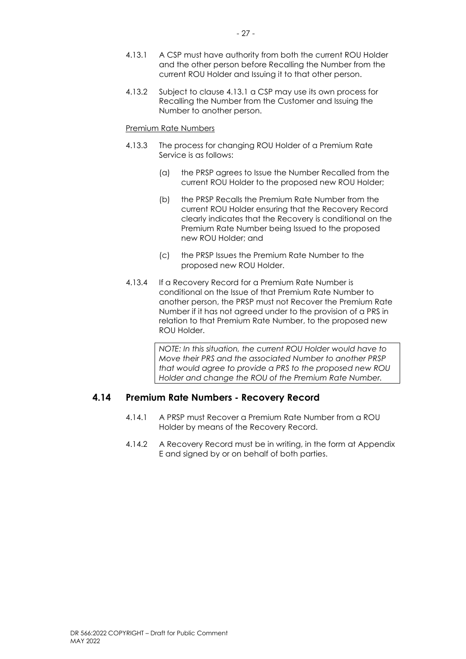- <span id="page-34-1"></span>4.13.1 A CSP must have authority from both the current ROU Holder and the other person before Recalling the Number from the current ROU Holder and Issuing it to that other person.
- 4.13.2 Subject to clause [4.13.1](#page-34-1) a CSP may use its own process for Recalling the Number from the Customer and Issuing the Number to another person.

#### Premium Rate Numbers

- 4.13.3 The process for changing ROU Holder of a Premium Rate Service is as follows:
	- (a) the PRSP agrees to Issue the Number Recalled from the current ROU Holder to the proposed new ROU Holder;
	- (b) the PRSP Recalls the Premium Rate Number from the current ROU Holder ensuring that the Recovery Record clearly indicates that the Recovery is conditional on the Premium Rate Number being Issued to the proposed new ROU Holder; and
	- (c) the PRSP Issues the Premium Rate Number to the proposed new ROU Holder.
- 4.13.4 If a Recovery Record for a Premium Rate Number is conditional on the Issue of that Premium Rate Number to another person, the PRSP must not Recover the Premium Rate Number if it has not agreed under to the provision of a PRS in relation to that Premium Rate Number, to the proposed new ROU Holder.

*NOTE: In this situation, the current ROU Holder would have to Move their PRS and the associated Number to another PRSP that would agree to provide a PRS to the proposed new ROU Holder and change the ROU of the Premium Rate Number.*

### <span id="page-34-0"></span>**4.14 Premium Rate Numbers - Recovery Record**

- 4.14.1 A PRSP must Recover a Premium Rate Number from a ROU Holder by means of the Recovery Record.
- 4.14.2 A Recovery Record must be in writing, in the form at Appendix E and signed by or on behalf of both parties.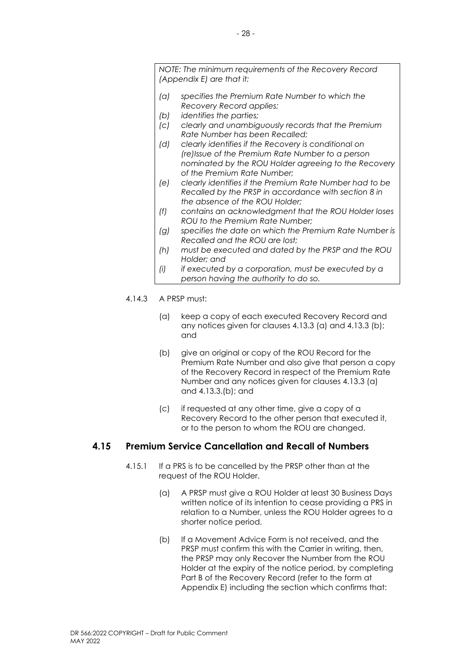*NOTE: The minimum requirements of the Recovery Record (Appendix E) are that it:*

- *(a) specifies the Premium Rate Number to which the Recovery Record applies;*
- *(b) identifies the parties;*
- *(c) clearly and unambiguously records that the Premium Rate Number has been Recalled;*
- *(d) clearly identifies if the Recovery is conditional on (re)Issue of the Premium Rate Number to a person nominated by the ROU Holder agreeing to the Recovery of the Premium Rate Number;*
- *(e) clearly identifies if the Premium Rate Number had to be Recalled by the PRSP in accordance with section 8 in the absence of the ROU Holder;*
- *(f) contains an acknowledgment that the ROU Holder loses ROU to the Premium Rate Number;*
- *(g) specifies the date on which the Premium Rate Number is Recalled and the ROU are lost;*
- *(h) must be executed and dated by the PRSP and the ROU Holder; and*
- *(i) if executed by a corporation, must be executed by a person having the authority to do so.*
- 4.14.3 A PRSP must:
	- (a) keep a copy of each executed Recovery Record and any notices given for clauses 4.13.3 [\(a\)](#page-35-1) and 4.13.3 [\(b\);](#page-35-2) and
	- (b) give an original or copy of the ROU Record for the Premium Rate Number and also give that person a copy of the Recovery Record in respect of the Premium Rate Number and any notices given for clauses 4.13.3 [\(a\)](#page-35-1) and 4.13.3[.\(b\);](#page-35-2) and
	- (c) if requested at any other time, give a copy of a Recovery Record to the other person that executed it, or to the person to whom the ROU are changed.

### <span id="page-35-1"></span><span id="page-35-0"></span>**4.15 Premium Service Cancellation and Recall of Numbers**

- <span id="page-35-2"></span>4.15.1 If a PRS is to be cancelled by the PRSP other than at the request of the ROU Holder.
	- (a) A PRSP must give a ROU Holder at least 30 Business Days written notice of its intention to cease providing a PRS in relation to a Number, unless the ROU Holder agrees to a shorter notice period.
	- (b) If a Movement Advice Form is not received, and the PRSP must confirm this with the Carrier in writing, then, the PRSP may only Recover the Number from the ROU Holder at the expiry of the notice period, by completing Part B of the Recovery Record (refer to the form at Appendix E) including the section which confirms that: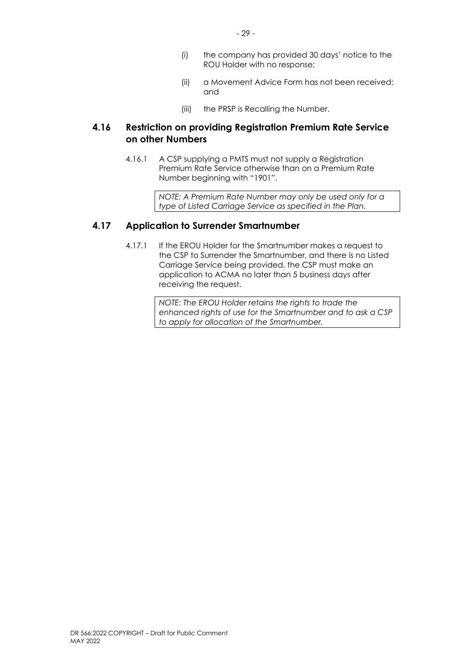- (i) the company has provided 30 days' notice to the ROU Holder with no response;
- (ii) a Movement Advice Form has not been received; and
- (iii) the PRSP is Recalling the Number.

### <span id="page-36-0"></span>**4.16 Restriction on providing Registration Premium Rate Service on other Numbers**

4.16.1 A CSP supplying a PMTS must not supply a Registration Premium Rate Service otherwise than on a Premium Rate Number beginning with "1901".

> *NOTE: A Premium Rate Number may only be used only for a type of Listed Carriage Service as specified in the Plan.*

### <span id="page-36-1"></span>**4.17 Application to Surrender Smartnumber**

4.17.1 If the EROU Holder for the Smartnumber makes a request to the CSP to Surrender the Smartnumber, and there is no Listed Carriage Service being provided, the CSP must make an application to ACMA no later than 5 business days after receiving the request.

> *NOTE: The EROU Holder retains the rights to trade the enhanced rights of use for the Smartnumber and to ask a CSP to apply for allocation of the Smartnumber.*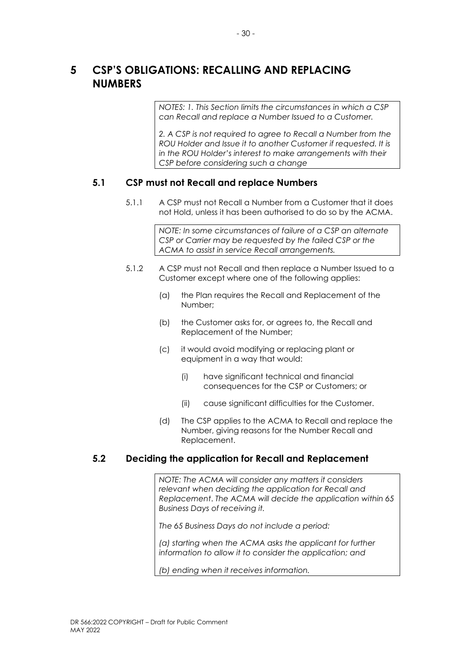## <span id="page-37-0"></span>**5 CSP'S OBLIGATIONS: RECALLING AND REPLACING NUMBERS**

*NOTES: 1. This Section limits the circumstances in which a CSP can Recall and replace a Number Issued to a Customer.* 

*2. A CSP is not required to agree to Recall a Number from the ROU Holder and Issue it to another Customer if requested. It is in the ROU Holder's interest to make arrangements with their CSP before considering such a change*

### <span id="page-37-1"></span>**5.1 CSP must not Recall and replace Numbers**

5.1.1 A CSP must not Recall a Number from a Customer that it does not Hold, unless it has been authorised to do so by the ACMA.

> *NOTE: In some circumstances of failure of a CSP an alternate CSP or Carrier may be requested by the failed CSP or the ACMA to assist in service Recall arrangements.*

- 5.1.2 A CSP must not Recall and then replace a Number Issued to a Customer except where one of the following applies:
	- (a) the Plan requires the Recall and Replacement of the Number;
	- (b) the Customer asks for, or agrees to, the Recall and Replacement of the Number;
	- (c) it would avoid modifying or replacing plant or equipment in a way that would:
		- (i) have significant technical and financial consequences for the CSP or Customers; or
		- (ii) cause significant difficulties for the Customer.
	- (d) The CSP applies to the ACMA to Recall and replace the Number, giving reasons for the Number Recall and Replacement.

### <span id="page-37-2"></span>**5.2 Deciding the application for Recall and Replacement**

*NOTE: The ACMA will consider any matters it considers relevant when deciding the application for Recall and Replacement*. *The ACMA will decide the application within 65 Business Days of receiving it.* 

*The 65 Business Days do not include a period:* 

*(a) starting when the ACMA asks the applicant for further information to allow it to consider the application; and*

*(b) ending when it receives information.*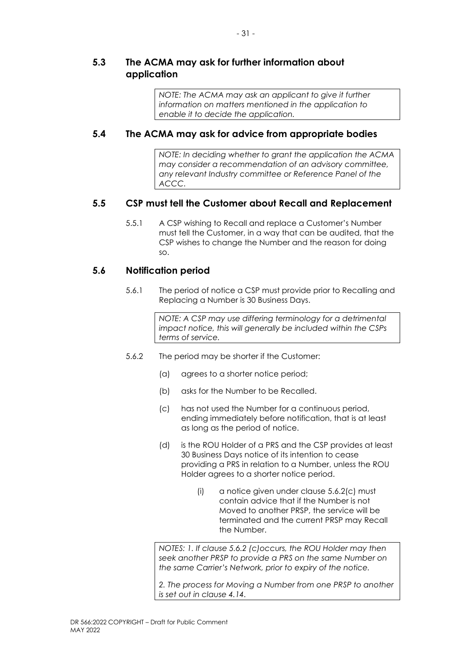### <span id="page-38-0"></span>**5.3 The ACMA may ask for further information about application**

*NOTE: The ACMA may ask an applicant to give it further information on matters mentioned in the application to enable it to decide the application.* 

### <span id="page-38-1"></span>**5.4 The ACMA may ask for advice from appropriate bodies**

*NOTE: In deciding whether to grant the application the ACMA may consider a recommendation of an advisory committee, any relevant Industry committee or Reference Panel of the ACCC.* 

### <span id="page-38-2"></span>**5.5 CSP must tell the Customer about Recall and Replacement**

5.5.1 A CSP wishing to Recall and replace a Customer's Number must tell the Customer, in a way that can be audited, that the CSP wishes to change the Number and the reason for doing so.

### <span id="page-38-3"></span>**5.6 Notification period**

5.6.1 The period of notice a CSP must provide prior to Recalling and Replacing a Number is 30 Business Days.

> *NOTE: A CSP may use differing terminology for a detrimental impact notice, this will generally be included within the CSPs terms of service.*

- <span id="page-38-5"></span><span id="page-38-4"></span>5.6.2 The period may be shorter if the Customer:
	- (a) agrees to a shorter notice period;
	- (b) asks for the Number to be Recalled.
	- (c) has not used the Number for a continuous period, ending immediately before notification, that is at least as long as the period of notice.
	- (d) is the ROU Holder of a PRS and the CSP provides at least 30 Business Days notice of its intention to cease providing a PRS in relation to a Number, unless the ROU Holder agrees to a shorter notice period.
		- (i) a notice given under clause [5.6.2](#page-38-4)[\(c\)](#page-38-5) must contain advice that if the Number is not Moved to another PRSP, the service will be terminated and the current PRSP may Recall the Number.

*NOTES: 1. If clause 5.6.2 (c)occurs, the ROU Holder may then seek another PRSP to provide a PRS on the same Number on the same Carrier's Network, prior to expiry of the notice.*

*2. The process for Moving a Number from one PRSP to another is set out in clause 4.14.*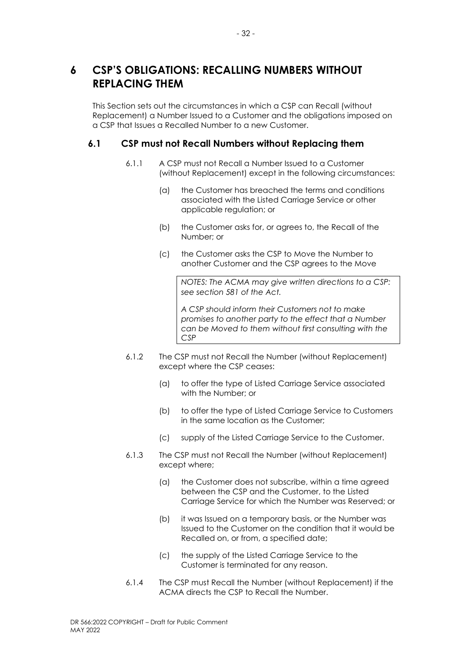## <span id="page-39-0"></span>**6 CSP'S OBLIGATIONS: RECALLING NUMBERS WITHOUT REPLACING THEM**

This Section sets out the circumstances in which a CSP can Recall (without Replacement) a Number Issued to a Customer and the obligations imposed on a CSP that Issues a Recalled Number to a new Customer.

### <span id="page-39-1"></span>**6.1 CSP must not Recall Numbers without Replacing them**

- 6.1.1 A CSP must not Recall a Number Issued to a Customer (without Replacement) except in the following circumstances:
	- (a) the Customer has breached the terms and conditions associated with the Listed Carriage Service or other applicable regulation; or
	- (b) the Customer asks for, or agrees to, the Recall of the Number; or
	- (c) the Customer asks the CSP to Move the Number to another Customer and the CSP agrees to the Move

*NOTES: The ACMA may give written directions to a CSP: see section 581 of the Act.* 

*A CSP should inform their Customers not to make promises to another party to the effect that a Number can be Moved to them without first consulting with the CSP*

- 6.1.2 The CSP must not Recall the Number (without Replacement) except where the CSP ceases:
	- (a) to offer the type of Listed Carriage Service associated with the Number; or
	- (b) to offer the type of Listed Carriage Service to Customers in the same location as the Customer;
	- (c) supply of the Listed Carriage Service to the Customer.
- 6.1.3 The CSP must not Recall the Number (without Replacement) except where;
	- (a) the Customer does not subscribe, within a time agreed between the CSP and the Customer, to the Listed Carriage Service for which the Number was Reserved; or
	- (b) it was Issued on a temporary basis, or the Number was Issued to the Customer on the condition that it would be Recalled on, or from, a specified date;
	- (c) the supply of the Listed Carriage Service to the Customer is terminated for any reason.
- 6.1.4 The CSP must Recall the Number (without Replacement) if the ACMA directs the CSP to Recall the Number.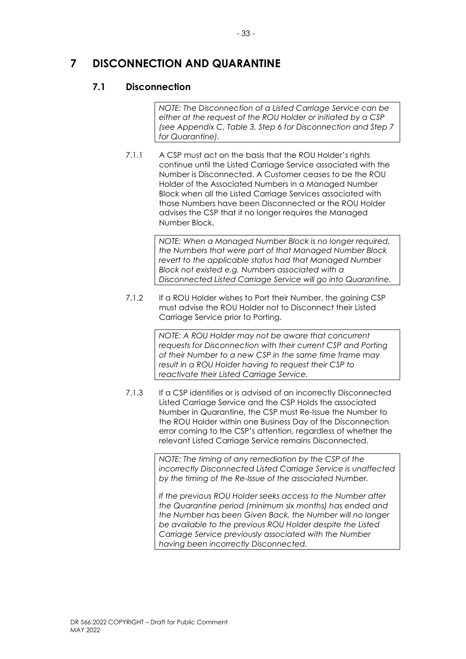## <span id="page-40-0"></span>**7 DISCONNECTION AND QUARANTINE**

### <span id="page-40-1"></span>**7.1 Disconnection**

*NOTE: The Disconnection of a Listed Carriage Service can be either at the request of the ROU Holder or initiated by a CSP (see Appendix C, Table 3, Step 6 for Disconnection and Step 7 for Quarantine).* 

7.1.1 A CSP must act on the basis that the ROU Holder's rights continue until the Listed Carriage Service associated with the Number is Disconnected. A Customer ceases to be the ROU Holder of the Associated Numbers in a Managed Number Block when all the Listed Carriage Services associated with those Numbers have been Disconnected or the ROU Holder advises the CSP that it no longer requires the Managed Number Block.

> *NOTE: When a Managed Number Block is no longer required, the Numbers that were part of that Managed Number Block revert to the applicable status had that Managed Number Block not existed e.g. Numbers associated with a Disconnected Listed Carriage Service will go into Quarantine.*

7.1.2 If a ROU Holder wishes to Port their Number, the gaining CSP must advise the ROU Holder not to Disconnect their Listed Carriage Service prior to Porting.

> *NOTE: A ROU Holder may not be aware that concurrent requests for Disconnection with their current CSP and Porting of their Number to a new CSP in the same time frame may result in a ROU Holder having to request their CSP to reactivate their Listed Carriage Service.*

7.1.3 If a CSP identifies or is advised of an incorrectly Disconnected Listed Carriage Service and the CSP Holds the associated Number in Quarantine, the CSP must Re-Issue the Number to the ROU Holder within one Business Day of the Disconnection error coming to the CSP's attention, regardless of whether the relevant Listed Carriage Service remains Disconnected.

> *NOTE: The timing of any remediation by the CSP of the incorrectly Disconnected Listed Carriage Service is unaffected by the timing of the Re-Issue of the associated Number.*

*If the previous ROU Holder seeks access to the Number after the Quarantine period (minimum six months) has ended and the Number has been Given Back, the Number will no longer be available to the previous ROU Holder despite the Listed Carriage Service previously associated with the Number having been incorrectly Disconnected.*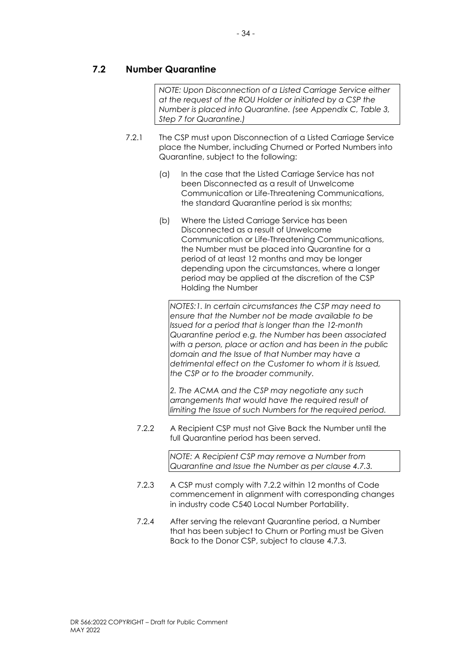### <span id="page-41-0"></span>**7.2 Number Quarantine**

*NOTE: Upon Disconnection of a Listed Carriage Service either at the request of the ROU Holder or initiated by a CSP the Number is placed into Quarantine. (see Appendix C, Table 3, Step 7 for Quarantine.)* 

- 7.2.1 The CSP must upon Disconnection of a Listed Carriage Service place the Number, including Churned or Ported Numbers into Quarantine, subject to the following:
	- (a) In the case that the Listed Carriage Service has not been Disconnected as a result of Unwelcome Communication or Life-Threatening Communications, the standard Quarantine period is six months;
	- (b) Where the Listed Carriage Service has been Disconnected as a result of Unwelcome Communication or Life-Threatening Communications, the Number must be placed into Quarantine for a period of at least 12 months and may be longer depending upon the circumstances, where a longer period may be applied at the discretion of the CSP Holding the Number

*NOTES:1. In certain circumstances the CSP may need to ensure that the Number not be made available to be Issued for a period that is longer than the 12-month Quarantine period e.g. the Number has been associated with a person, place or action and has been in the public domain and the Issue of that Number may have a detrimental effect on the Customer to whom it is Issued, the CSP or to the broader community.*

*2. The ACMA and the CSP may negotiate any such arrangements that would have the required result of limiting the Issue of such Numbers for the required period.* 

7.2.2 A Recipient CSP must not Give Back the Number until the full Quarantine period has been served.

> *NOTE: A Recipient CSP may remove a Number from Quarantine and Issue the Number as per clause 4.7.3.*

- 7.2.3 A CSP must comply with 7.2.2 within 12 months of Code commencement in alignment with corresponding changes in industry code C540 Local Number Portability.
- 7.2.4 After serving the relevant Quarantine period, a Number that has been subject to Churn or Porting must be Given Back to the Donor CSP, subject to clause 4.7.3.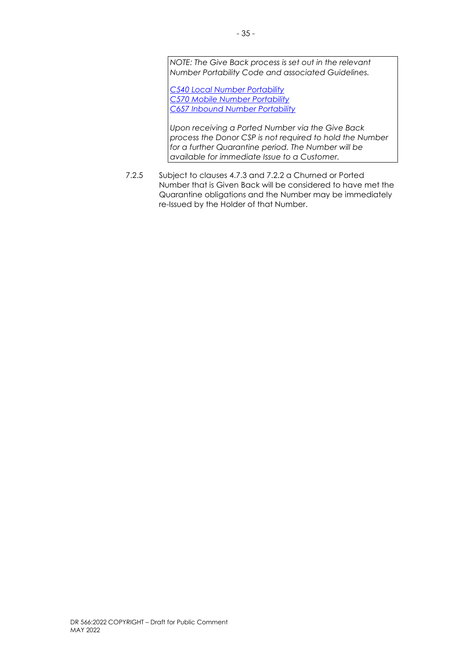*NOTE: The Give Back process is set out in the relevant Number Portability Code and associated Guidelines.*

*[C540 Local Number Portability](https://www.commsalliance.com.au/Documents/all/codes/c540) [C570 Mobile Number Portability](https://www.commsalliance.com.au/Documents/all/codes/c570) [C657 Inbound Number Portability](https://www.commsalliance.com.au/Documents/all/codes/c657)*

*Upon receiving a Ported Number via the Give Back process the Donor CSP is not required to hold the Number for a further Quarantine period. The Number will be available for immediate Issue to a Customer.*

7.2.5 Subject to clauses 4.7.3 and 7.2.2 a Churned or Ported Number that is Given Back will be considered to have met the Quarantine obligations and the Number may be immediately re-Issued by the Holder of that Number.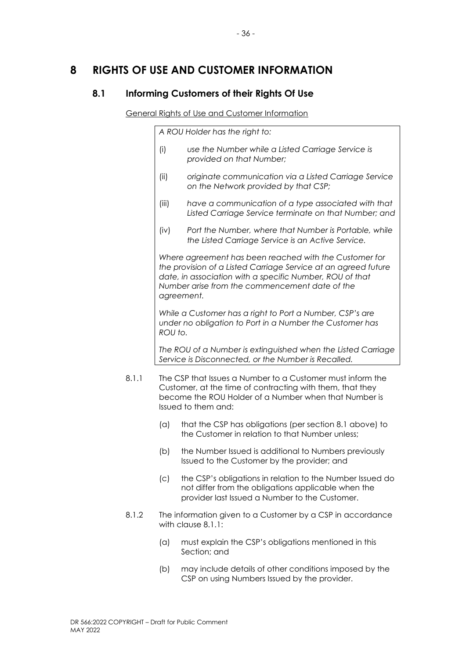## <span id="page-43-0"></span>**8 RIGHTS OF USE AND CUSTOMER INFORMATION**

### <span id="page-43-1"></span>**8.1 Informing Customers of their Rights Of Use**

### General Rights of Use and Customer Information

*A ROU Holder has the right to:* 

- (i) *use the Number while a Listed Carriage Service is provided on that Number;*
- (ii) *originate communication via a Listed Carriage Service on the Network provided by that CSP;*
- (iii) *have a communication of a type associated with that Listed Carriage Service terminate on that Number; and*
- (iv) *Port the Number, where that Number is Portable, while the Listed Carriage Service is an Active Service.*

*Where agreement has been reached with the Customer for the provision of a Listed Carriage Service at an agreed future date, in association with a specific Number, ROU of that Number arise from the commencement date of the agreement.*

*While a Customer has a right to Port a Number, CSP's are under no obligation to Port in a Number the Customer has ROU to.*

*The ROU of a Number is extinguished when the Listed Carriage Service is Disconnected, or the Number is Recalled.* 

- 8.1.1 The CSP that Issues a Number to a Customer must inform the Customer, at the time of contracting with them, that they become the ROU Holder of a Number when that Number is Issued to them and:
	- (a) that the CSP has obligations (per section 8.1 above) to the Customer in relation to that Number unless;
	- (b) the Number Issued is additional to Numbers previously Issued to the Customer by the provider; and
	- (c) the CSP's obligations in relation to the Number Issued do not differ from the obligations applicable when the provider last Issued a Number to the Customer.
- 8.1.2 The information given to a Customer by a CSP in accordance with clause 8.1.1:
	- (a) must explain the CSP's obligations mentioned in this Section; and
	- (b) may include details of other conditions imposed by the CSP on using Numbers Issued by the provider.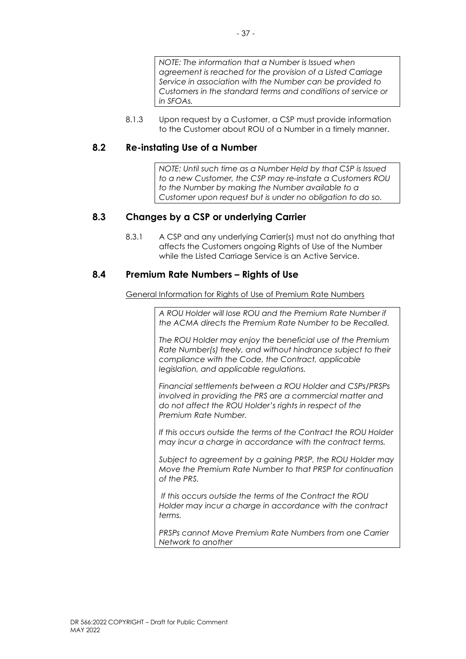8.1.3 Upon request by a Customer, a CSP must provide information to the Customer about ROU of a Number in a timely manner.

### <span id="page-44-0"></span>**8.2 Re-instating Use of a Number**

*NOTE: Until such time as a Number Held by that CSP is Issued to a new Customer, the CSP may re-instate a Customers ROU to the Number by making the Number available to a Customer upon request but is under no obligation to do so.* 

### <span id="page-44-1"></span>**8.3 Changes by a CSP or underlying Carrier**

8.3.1 A CSP and any underlying Carrier(s) must not do anything that affects the Customers ongoing Rights of Use of the Number while the Listed Carriage Service is an Active Service.

### <span id="page-44-2"></span>**8.4 Premium Rate Numbers – Rights of Use**

General Information for Rights of Use of Premium Rate Numbers

*A ROU Holder will lose ROU and the Premium Rate Number if the ACMA directs the Premium Rate Number to be Recalled.* 

*The ROU Holder may enjoy the beneficial use of the Premium Rate Number(s) freely, and without hindrance subject to their compliance with the Code, the Contract, applicable legislation, and applicable regulations.*

*Financial settlements between a ROU Holder and CSPs/PRSPs involved in providing the PRS are a commercial matter and do not affect the ROU Holder's rights in respect of the Premium Rate Number.*

*If this occurs outside the terms of the Contract the ROU Holder may incur a charge in accordance with the contract terms.*

*Subject to agreement by a gaining PRSP, the ROU Holder may Move the Premium Rate Number to that PRSP for continuation of the PRS.* 

*If this occurs outside the terms of the Contract the ROU Holder may incur a charge in accordance with the contract terms.*

*PRSPs cannot Move Premium Rate Numbers from one Carrier Network to another*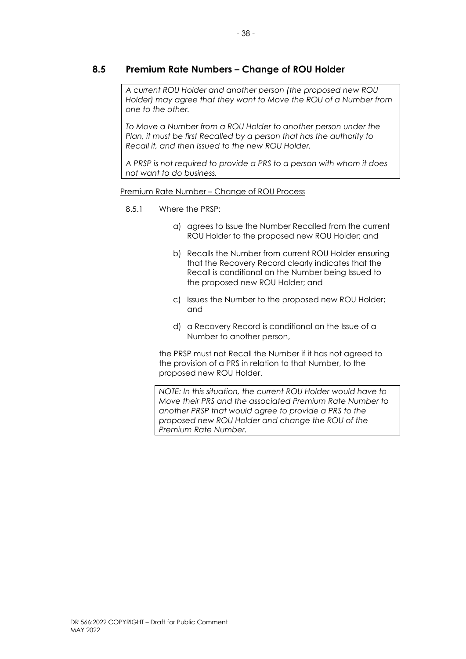### <span id="page-45-0"></span>**8.5 Premium Rate Numbers – Change of ROU Holder**

*A current ROU Holder and another person (the proposed new ROU Holder) may agree that they want to Move the ROU of a Number from one to the other.*

*To Move a Number from a ROU Holder to another person under the Plan, it must be first Recalled by a person that has the authority to Recall it, and then Issued to the new ROU Holder.*

*A PRSP is not required to provide a PRS to a person with whom it does not want to do business.*

Premium Rate Number – Change of ROU Process

#### 8.5.1 Where the PRSP:

- a) agrees to Issue the Number Recalled from the current ROU Holder to the proposed new ROU Holder; and
- b) Recalls the Number from current ROU Holder ensuring that the Recovery Record clearly indicates that the Recall is conditional on the Number being Issued to the proposed new ROU Holder; and
- c) Issues the Number to the proposed new ROU Holder; and
- d) a Recovery Record is conditional on the Issue of a Number to another person,

the PRSP must not Recall the Number if it has not agreed to the provision of a PRS in relation to that Number, to the proposed new ROU Holder.

*NOTE: In this situation, the current ROU Holder would have to Move their PRS and the associated Premium Rate Number to another PRSP that would agree to provide a PRS to the proposed new ROU Holder and change the ROU of the Premium Rate Number.*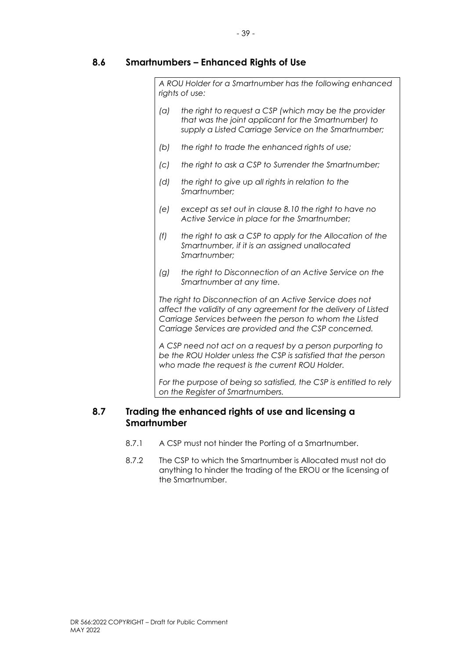### <span id="page-46-0"></span>**8.6 Smartnumbers – Enhanced Rights of Use**

*A ROU Holder for a Smartnumber has the following enhanced rights of use:*

- *(a) the right to request a CSP (which may be the provider that was the joint applicant for the Smartnumber) to supply a Listed Carriage Service on the Smartnumber;*
- *(b) the right to trade the enhanced rights of use;*
- *(c) the right to ask a CSP to Surrender the Smartnumber;*
- *(d) the right to give up all rights in relation to the Smartnumber;*
- *(e) except as set out in clause 8.10 the right to have no Active Service in place for the Smartnumber;*
- *(f) the right to ask a CSP to apply for the Allocation of the Smartnumber, if it is an assigned unallocated Smartnumber;*
- *(g) the right to Disconnection of an Active Service on the Smartnumber at any time.*

*The right to Disconnection of an Active Service does not affect the validity of any agreement for the delivery of Listed Carriage Services between the person to whom the Listed Carriage Services are provided and the CSP concerned.*

*A CSP need not act on a request by a person purporting to be the ROU Holder unless the CSP is satisfied that the person who made the request is the current ROU Holder.* 

*For the purpose of being so satisfied, the CSP is entitled to rely on the Register of Smartnumbers.*

### <span id="page-46-1"></span>**8.7 Trading the enhanced rights of use and licensing a Smartnumber**

- 8.7.1 A CSP must not hinder the Porting of a Smartnumber.
- 8.7.2 The CSP to which the Smartnumber is Allocated must not do anything to hinder the trading of the EROU or the licensing of the Smartnumber.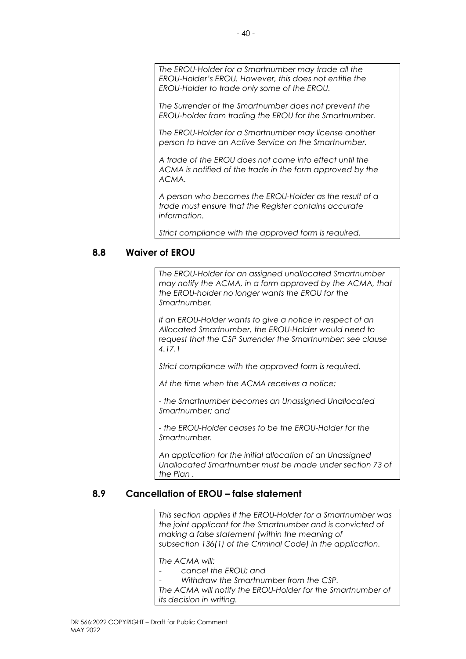*The EROU-Holder for a Smartnumber may trade all the EROU-Holder's EROU. However, this does not entitle the EROU-Holder to trade only some of the EROU.* 

*The Surrender of the Smartnumber does not prevent the EROU-holder from trading the EROU for the Smartnumber.* 

*The EROU-Holder for a Smartnumber may license another person to have an Active Service on the Smartnumber.*

*A trade of the EROU does not come into effect until the ACMA is notified of the trade in the form approved by the ACMA.* 

*A person who becomes the EROU-Holder as the result of a trade must ensure that the Register contains accurate information.*

*Strict compliance with the approved form is required.* 

### <span id="page-47-0"></span>**8.8 Waiver of EROU**

*The EROU-Holder for an assigned unallocated Smartnumber may notify the ACMA, in a form approved by the ACMA, that the EROU-holder no longer wants the EROU for the Smartnumber.* 

*If an EROU-Holder wants to give a notice in respect of an Allocated Smartnumber, the EROU-Holder would need to request that the CSP Surrender the Smartnumber: see clause 4.17.1* 

*Strict compliance with the approved form is required.*

*At the time when the ACMA receives a notice:* 

*- the Smartnumber becomes an Unassigned Unallocated Smartnumber; and* 

*- the EROU-Holder ceases to be the EROU-Holder for the Smartnumber.* 

*An application for the initial allocation of an Unassigned Unallocated Smartnumber must be made under section 73 of the Plan .* 

### <span id="page-47-1"></span>**8.9 Cancellation of EROU – false statement**

*This section applies if the EROU-Holder for a Smartnumber was the joint applicant for the Smartnumber and is convicted of making a false statement (within the meaning of subsection 136(1) of the Criminal Code) in the application.* 

*The ACMA will:* 

- cancel the **EROU**; and
- *Withdraw the Smartnumber from the CSP.*

*The ACMA will notify the EROU-Holder for the Smartnumber of its decision in writing.*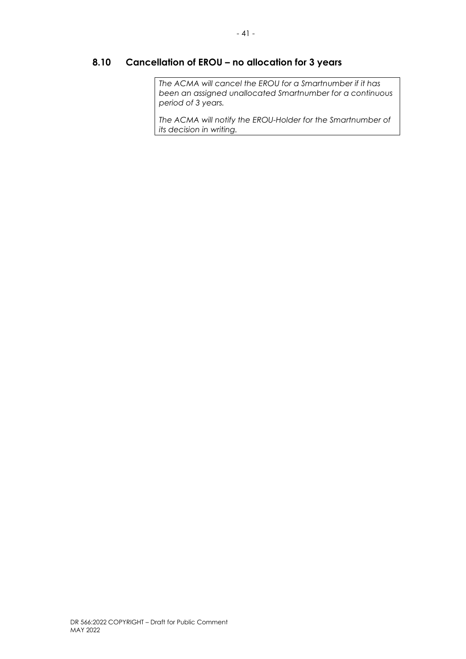## <span id="page-48-0"></span>**8.10 Cancellation of EROU – no allocation for 3 years**

*The ACMA will cancel the EROU for a Smartnumber if it has been an assigned unallocated Smartnumber for a continuous period of 3 years.*

*The ACMA will notify the EROU-Holder for the Smartnumber of its decision in writing.*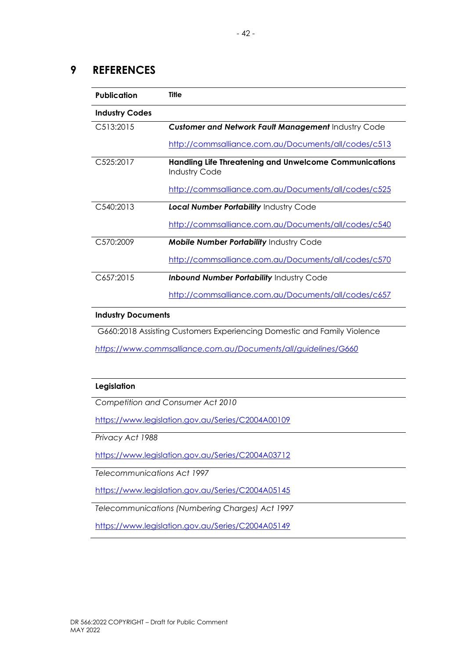### <span id="page-49-0"></span>**9 REFERENCES**

| <b>Publication</b>    | Title                                                                                 |
|-----------------------|---------------------------------------------------------------------------------------|
| <b>Industry Codes</b> |                                                                                       |
| C513:2015             | <b>Customer and Network Fault Management Industry Code</b>                            |
|                       | http://commsalliance.com.au/Documents/all/codes/c513                                  |
| C525:2017             | <b>Handling Life Threatening and Unwelcome Communications</b><br><b>Industry Code</b> |
|                       | http://commsalliance.com.au/Documents/all/codes/c525                                  |
| C540:2013             | <b>Local Number Portability Industry Code</b>                                         |
|                       | http://commsalliance.com.au/Documents/all/codes/c540                                  |
| C570:2009             | <b>Mobile Number Portability Industry Code</b>                                        |
|                       | http://commsalliance.com.au/Documents/all/codes/c570                                  |
| C657:2015             | <b>Inbound Number Portability Industry Code</b>                                       |
|                       | http://commsalliance.com.au/Documents/all/codes/c657                                  |

#### **Industry Documents**

G660:2018 Assisting Customers Experiencing Domestic and Family Violence

*<https://www.commsalliance.com.au/Documents/all/guidelines/G660>*

#### **Legislation**

*Competition and Consumer Act 2010*

<https://www.legislation.gov.au/Series/C2004A00109>

*Privacy Act 1988*

<https://www.legislation.gov.au/Series/C2004A03712>

*Telecommunications Act 1997*

<https://www.legislation.gov.au/Series/C2004A05145>

*Telecommunications (Numbering Charges) Act 1997*

<https://www.legislation.gov.au/Series/C2004A05149>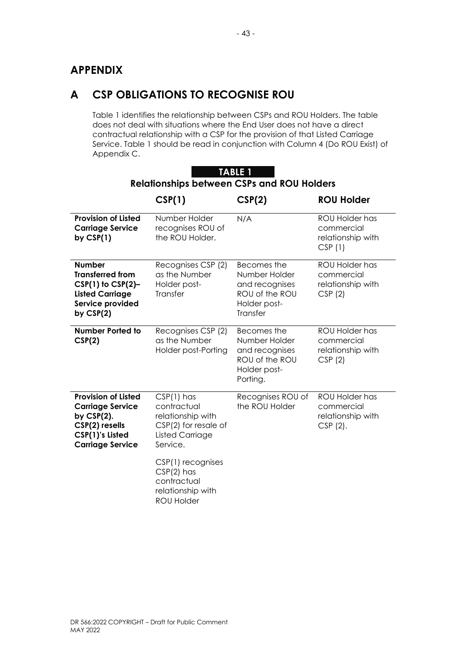## <span id="page-50-0"></span>**APPENDIX**

## <span id="page-50-1"></span>**A CSP OBLIGATIONS TO RECOGNISE ROU**

Table 1 identifies the relationship between CSPs and ROU Holders. The table does not deal with situations where the End User does not have a direct contractual relationship with a CSP for the provision of that Listed Carriage Service. Table 1 should be read in conjunction with Column 4 (Do ROU Exist) of Appendix C.

| TABLE 1<br><b>Relationships between CSPs and ROU Holders</b>                                                                           |                                                                                                                |                                                                                              |                                                                        |  |
|----------------------------------------------------------------------------------------------------------------------------------------|----------------------------------------------------------------------------------------------------------------|----------------------------------------------------------------------------------------------|------------------------------------------------------------------------|--|
|                                                                                                                                        | CSP(1)                                                                                                         | CSP(2)                                                                                       | <b>ROU Holder</b>                                                      |  |
| <b>Provision of Listed</b><br><b>Carriage Service</b><br>by $CSP(1)$                                                                   | Number Holder<br>recognises ROU of<br>the ROU Holder.                                                          | N/A                                                                                          | <b>ROU Holder has</b><br>commercial<br>relationship with<br>CSP(1)     |  |
| <b>Number</b><br><b>Transferred from</b><br>$CSP(1)$ to $CSP(2)$ -<br><b>Listed Carriage</b><br>Service provided<br>by $CSP(2)$        | Recognises CSP (2)<br>as the Number<br>Holder post-<br>Transfer                                                | Becomes the<br>Number Holder<br>and recognises<br>ROU of the ROU<br>Holder post-<br>Transfer | ROU Holder has<br>commercial<br>relationship with<br>CSP(2)            |  |
| <b>Number Ported to</b><br>CSP(2)                                                                                                      | Recognises CSP (2)<br>as the Number<br>Holder post-Porting                                                     | Becomes the<br>Number Holder<br>and recognises<br>ROU of the ROU<br>Holder post-<br>Porting. | <b>ROU Holder has</b><br>commercial<br>relationship with<br>CSP(2)     |  |
| <b>Provision of Listed</b><br><b>Carriage Service</b><br>by $CSP(2)$ .<br>CSP(2) resells<br>CSP(1)'s Listed<br><b>Carriage Service</b> | $CSP(1)$ has<br>contractual<br>relationship with<br>CSP(2) for resale of<br><b>Listed Carriage</b><br>Service. | Recognises ROU of<br>the ROU Holder                                                          | <b>ROU Holder has</b><br>commercial<br>relationship with<br>$CSP(2)$ . |  |
|                                                                                                                                        | CSP(1) recognises<br>$CSP(2)$ has<br>contractual<br>relationship with<br><b>ROU Holder</b>                     |                                                                                              |                                                                        |  |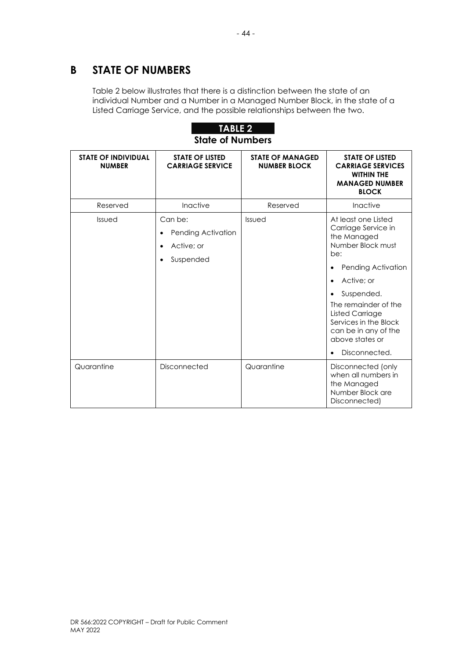## <span id="page-51-0"></span>**B STATE OF NUMBERS**

Table 2 below illustrates that there is a distinction between the state of an individual Number and a Number in a Managed Number Block, in the state of a Listed Carriage Service, and the possible relationships between the two.



| <b>STATE OF INDIVIDUAL</b><br><b>NUMBER</b> | <b>STATE OF LISTED</b><br><b>CARRIAGE SERVICE</b>                                  | <b>STATE OF MANAGED</b><br><b>NUMBER BLOCK</b> | <b>STATE OF LISTED</b><br><b>CARRIAGE SERVICES</b><br><b>WITHIN THE</b><br><b>MANAGED NUMBER</b><br><b>BLOCK</b>                                                                                                                                                                                                      |
|---------------------------------------------|------------------------------------------------------------------------------------|------------------------------------------------|-----------------------------------------------------------------------------------------------------------------------------------------------------------------------------------------------------------------------------------------------------------------------------------------------------------------------|
| Reserved                                    | Inactive                                                                           | Reserved                                       | Inactive                                                                                                                                                                                                                                                                                                              |
| Issued                                      | Can be:<br>Pending Activation<br>Active: or<br>$\bullet$<br>Suspended<br>$\bullet$ | Issued                                         | At least one Listed<br>Carriage Service in<br>the Managed<br>Number Block must<br>be:<br>Pending Activation<br>Active; or<br>$\bullet$<br>Suspended.<br>$\bullet$<br>The remainder of the<br><b>Listed Carriage</b><br>Services in the Block<br>can be in any of the<br>above states or<br>Disconnected.<br>$\bullet$ |
| Quarantine                                  | Disconnected                                                                       | Quarantine                                     | Disconnected (only<br>when all numbers in<br>the Managed<br>Number Block are<br>Disconnected)                                                                                                                                                                                                                         |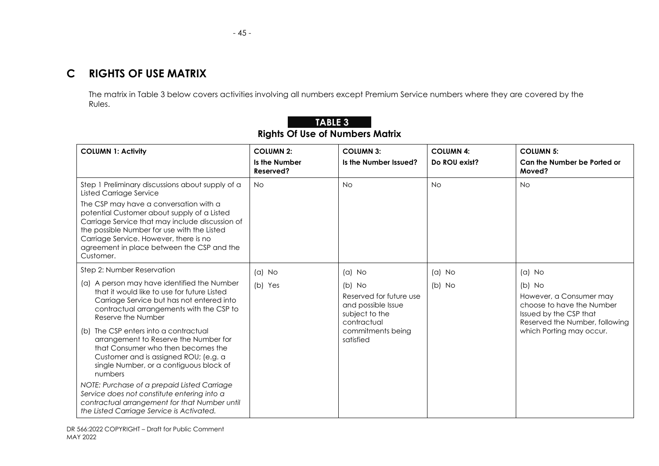The matrix in Table 3 below covers activities involving all numbers except Premium Service numbers where they are covered by the Rules.

<span id="page-52-0"></span>

| <b>COLUMN 1: Activity</b>                                                                                                                                                                                                                                                                    | <b>COLUMN 2:</b><br>Is the Number | <b>COLUMN 3:</b>                                                                           | <b>COLUMN 4:</b> | <b>COLUMN 5:</b>                                                                                                             |
|----------------------------------------------------------------------------------------------------------------------------------------------------------------------------------------------------------------------------------------------------------------------------------------------|-----------------------------------|--------------------------------------------------------------------------------------------|------------------|------------------------------------------------------------------------------------------------------------------------------|
|                                                                                                                                                                                                                                                                                              | Reserved?                         | Is the Number Issued?                                                                      | Do ROU exist?    | Can the Number be Ported or<br>Moved?                                                                                        |
| Step 1 Preliminary discussions about supply of a<br><b>Listed Carriage Service</b>                                                                                                                                                                                                           | <b>No</b>                         | <b>No</b>                                                                                  | <b>No</b>        | <b>No</b>                                                                                                                    |
| The CSP may have a conversation with a<br>potential Customer about supply of a Listed<br>Carriage Service that may include discussion of<br>the possible Number for use with the Listed<br>Carriage Service. However, there is no<br>agreement in place between the CSP and the<br>Customer. |                                   |                                                                                            |                  |                                                                                                                              |
| Step 2: Number Reservation                                                                                                                                                                                                                                                                   | $(a)$ No                          | $(a)$ No                                                                                   | $(a)$ No         | $(a)$ No                                                                                                                     |
| (a) A person may have identified the Number<br>that it would like to use for future Listed<br>Carriage Service but has not entered into<br>contractual arrangements with the CSP to<br>Reserve the Number                                                                                    | (b) Yes                           | $(b)$ No<br>Reserved for future use<br>and possible Issue<br>subject to the<br>contractual | $(b)$ No         | $(b)$ No<br>However, a Consumer may<br>choose to have the Number<br>Issued by the CSP that<br>Reserved the Number, following |
| The CSP enters into a contractual<br>(b)<br>arrangement to Reserve the Number for<br>that Consumer who then becomes the<br>Customer and is assigned ROU; (e.g. a<br>single Number, or a contiguous block of<br>numbers                                                                       |                                   | commitments being<br>satisfied                                                             |                  | which Porting may occur.                                                                                                     |
| NOTE: Purchase of a prepaid Listed Carriage<br>Service does not constitute entering into a<br>contractual arrangement for that Number until<br>the Listed Carriage Service is Activated.                                                                                                     |                                   |                                                                                            |                  |                                                                                                                              |

### **TABLE 3 Rights Of Use of Numbers Matrix**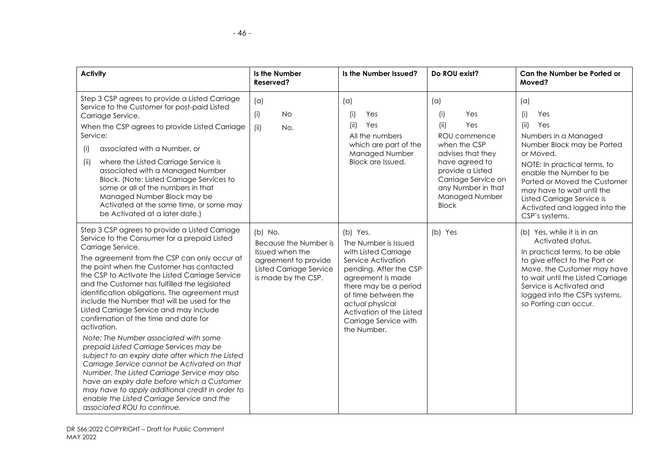| <b>Activity</b>                                                                                                                                                                                                                                                                                                                                                                                                                                                                                                                                                                                                                                                                                                                                                                                                                                                                                                                                  | Is the Number<br>Reserved?                                                                                                             | Is the Number Issued?                                                                                                                                                                                                                                                | Do ROU exist?                                                                                                                                                                                              | Can the Number be Ported or<br>Moved?                                                                                                                                                                                                                                                                         |
|--------------------------------------------------------------------------------------------------------------------------------------------------------------------------------------------------------------------------------------------------------------------------------------------------------------------------------------------------------------------------------------------------------------------------------------------------------------------------------------------------------------------------------------------------------------------------------------------------------------------------------------------------------------------------------------------------------------------------------------------------------------------------------------------------------------------------------------------------------------------------------------------------------------------------------------------------|----------------------------------------------------------------------------------------------------------------------------------------|----------------------------------------------------------------------------------------------------------------------------------------------------------------------------------------------------------------------------------------------------------------------|------------------------------------------------------------------------------------------------------------------------------------------------------------------------------------------------------------|---------------------------------------------------------------------------------------------------------------------------------------------------------------------------------------------------------------------------------------------------------------------------------------------------------------|
| Step 3 CSP agrees to provide a Listed Carriage<br>Service to the Customer for post-paid Listed<br>Carriage Service.<br>When the CSP agrees to provide Listed Carriage<br>Service:<br>associated with a Number, or<br>(i)<br>where the Listed Carriage Service is<br>(iii)<br>associated with a Managed Number<br>Block. (Note: Listed Carriage Services to<br>some or all of the numbers in that<br>Managed Number Block may be<br>Activated at the same time, or some may<br>be Activated at a later date.)                                                                                                                                                                                                                                                                                                                                                                                                                                     | (a)<br><b>No</b><br>(i)<br>No.<br>(ii)                                                                                                 | (a)<br>Yes<br>(i)<br>Yes<br>(ii)<br>All the numbers<br>which are part of the<br>Managed Number<br>Block are Issued.                                                                                                                                                  | (a)<br>Yes<br>(i)<br>Yes<br>(ii)<br>ROU commence<br>when the CSP<br>advises that they<br>have agreed to<br>provide a Listed<br>Carriage Service on<br>any Number in that<br>Managed Number<br><b>Block</b> | (a)<br>(i)<br>Yes<br>(ii)<br>Yes<br>Numbers in a Managed<br>Number Block may be Ported<br>or Moved.<br>NOTE: In practical terms, to<br>enable the Number to be<br>Ported or Moved the Customer<br>may have to wait until the<br>Listed Carriage Service is<br>Activated and logged into the<br>CSP's systems. |
| Step 3 CSP agrees to provide a Listed Carriage<br>Service to the Consumer for a prepaid Listed<br>Carriage Service.<br>The agreement from the CSP can only occur at<br>the point when the Customer has contacted<br>the CSP to Activate the Listed Carriage Service<br>and the Customer has fulfilled the legislated<br>identification obligations. The agreement must<br>include the Number that will be used for the<br>Listed Carriage Service and may include<br>confirmation of the time and date for<br>activation.<br>Note: The Number associated with some<br>prepaid Listed Carriage Services may be<br>subject to an expiry date after which the Listed<br>Carriage Service cannot be Activated on that<br>Number. The Listed Carriage Service may also<br>have an expiry date before which a Customer<br>may have to apply additional credit in order to<br>enable the Listed Carriage Service and the<br>associated ROU to continue. | $(b)$ No.<br>Because the Number is<br>Issued when the<br>agreement to provide<br><b>Listed Carriage Service</b><br>is made by the CSP. | (b) Yes.<br>The Number is Issued<br>with Listed Carriage<br>Service Activation<br>pending. After the CSP<br>agreement is made<br>there may be a period<br>of time between the<br>actual physical<br>Activation of the Listed<br>Carriage Service with<br>the Number. | (b) Yes                                                                                                                                                                                                    | (b) Yes, while it is in an<br>Activated status.<br>In practical terms, to be able<br>to give effect to the Port or<br>Move, the Customer may have<br>to wait until the Listed Carriage<br>Service is Activated and<br>logged into the CSPs systems,<br>so Porting can occur.                                  |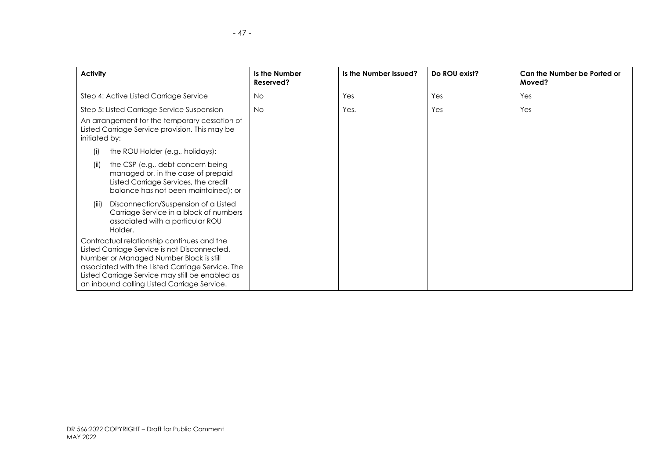| <b>Activity</b>                                                                                                                                                                                                                                                                             | Is the Number<br>Reserved? | Is the Number Issued? | Do ROU exist? | Can the Number be Ported or<br>Moved? |
|---------------------------------------------------------------------------------------------------------------------------------------------------------------------------------------------------------------------------------------------------------------------------------------------|----------------------------|-----------------------|---------------|---------------------------------------|
| Step 4: Active Listed Carriage Service                                                                                                                                                                                                                                                      | No.                        | Yes                   | Yes           | Yes                                   |
| Step 5: Listed Carriage Service Suspension<br>An arrangement for the temporary cessation of<br>Listed Carriage Service provision. This may be<br>initiated by:                                                                                                                              | No.                        | Yes.                  | Yes           | Yes                                   |
| the ROU Holder (e.g., holidays);<br>(i)                                                                                                                                                                                                                                                     |                            |                       |               |                                       |
| the CSP (e.g., debt concern being<br>(ii)<br>managed or, in the case of prepaid<br>Listed Carriage Services, the credit<br>balance has not been maintained); or                                                                                                                             |                            |                       |               |                                       |
| Disconnection/Suspension of a Listed<br>(iii)<br>Carriage Service in a block of numbers<br>associated with a particular ROU<br>Holder.                                                                                                                                                      |                            |                       |               |                                       |
| Contractual relationship continues and the<br>Listed Carriage Service is not Disconnected.<br>Number or Managed Number Block is still<br>associated with the Listed Carriage Service. The<br>Listed Carriage Service may still be enabled as<br>an inbound calling Listed Carriage Service. |                            |                       |               |                                       |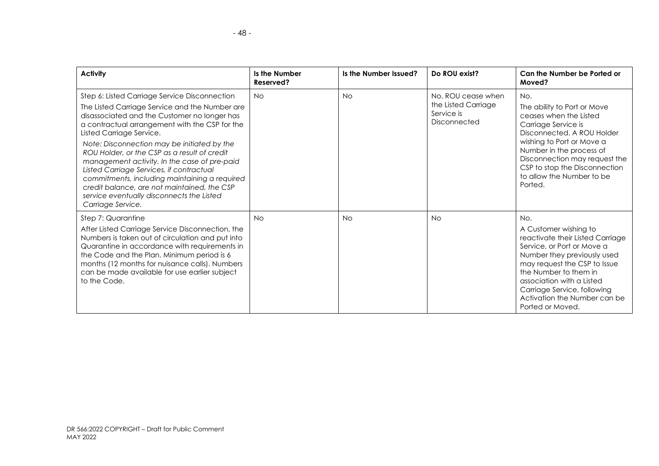| <b>Activity</b>                                                                                                                                                                                                                                                                                                                                                                                                                                                                                                                                                                            | Is the Number<br>Reserved? | Is the Number Issued? | Do ROU exist?                                                           | Can the Number be Ported or<br>Moved?                                                                                                                                                                                                                                                                  |
|--------------------------------------------------------------------------------------------------------------------------------------------------------------------------------------------------------------------------------------------------------------------------------------------------------------------------------------------------------------------------------------------------------------------------------------------------------------------------------------------------------------------------------------------------------------------------------------------|----------------------------|-----------------------|-------------------------------------------------------------------------|--------------------------------------------------------------------------------------------------------------------------------------------------------------------------------------------------------------------------------------------------------------------------------------------------------|
| Step 6: Listed Carriage Service Disconnection<br>The Listed Carriage Service and the Number are<br>disassociated and the Customer no longer has<br>a contractual arrangement with the CSP for the<br>Listed Carriage Service.<br>Note: Disconnection may be initiated by the<br>ROU Holder, or the CSP as a result of credit<br>management activity. In the case of pre-paid<br>Listed Carriage Services, if contractual<br>commitments, including maintaining a required<br>credit balance, are not maintained, the CSP<br>service eventually disconnects the Listed<br>Carriage Service. | <b>No</b>                  | <b>No</b>             | No. ROU cease when<br>the Listed Carriage<br>Service is<br>Disconnected | No.<br>The ability to Port or Move<br>ceases when the Listed<br>Carriage Service is<br>Disconnected, A ROU Holder<br>wishing to Port or Move a<br>Number in the process of<br>Disconnection may request the<br>CSP to stop the Disconnection<br>to allow the Number to be<br>Ported.                   |
| Step 7: Quarantine<br>After Listed Carriage Service Disconnection, the<br>Numbers is taken out of circulation and put into<br>Quarantine in accordance with requirements in<br>the Code and the Plan. Minimum period is 6<br>months (12 months for nuisance calls). Numbers<br>can be made available for use earlier subject<br>to the Code.                                                                                                                                                                                                                                               | <b>No</b>                  | <b>No</b>             | <b>No</b>                                                               | No.<br>A Customer wishing to<br>reactivate their Listed Carriage<br>Service, or Port or Move a<br>Number they previously used<br>may request the CSP to Issue<br>the Number to them in<br>association with a Listed<br>Carriage Service, following<br>Activation the Number can be<br>Ported or Moved. |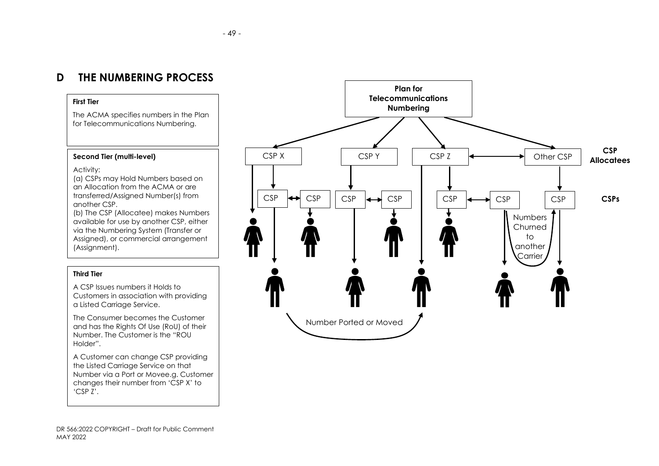### **D THE NUMBERING PROCESS**

#### **First Tier**

The ACMA specifies numbers in the Plan for Telecommunications Numbering.

#### **Second Tier (multi-level)**

Activity:

(a) CSPs may Hold Numbers based on an Allocation from the ACMA or are transferred/Assigned Number(s) from another CSP.

(b) The CSP (Allocatee) makes Numbers available for use by another CSP, either via the Numbering System (Transfer or Assigned), or commercial arrangement (Assignment).

#### <span id="page-56-0"></span>**Third Tier**

A CSP Issues numbers it Holds to Customers in association with providing a Listed Carriage Service.

The Consumer becomes the Customer and has the Rights Of Use (RoU) of their Number. The Customer is the "ROU Holder".

A Customer can change CSP providing the Listed Carriage Service on that Number via a Port or Movee.g. Customer changes their number from 'CSP X' to 'CSP Z'.

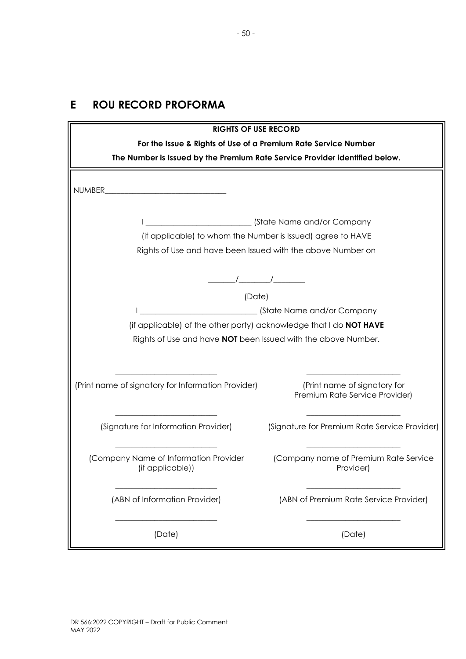## <span id="page-57-0"></span>**E ROU RECORD PROFORMA**

| <b>RIGHTS OF USE RECORD</b>                                                                                                                              |                                                                |  |  |  |  |
|----------------------------------------------------------------------------------------------------------------------------------------------------------|----------------------------------------------------------------|--|--|--|--|
| For the Issue & Rights of Use of a Premium Rate Service Number                                                                                           |                                                                |  |  |  |  |
| The Number is Issued by the Premium Rate Service Provider identified below.                                                                              |                                                                |  |  |  |  |
| NUMBER                                                                                                                                                   |                                                                |  |  |  |  |
| (State Name and/or Company<br>(if applicable) to whom the Number is Issued) agree to HAVE<br>Rights of Use and have been Issued with the above Number on |                                                                |  |  |  |  |
|                                                                                                                                                          | (Date)                                                         |  |  |  |  |
|                                                                                                                                                          | (State Name and/or Company                                     |  |  |  |  |
| (if applicable) of the other party) acknowledge that I do NOT HAVE                                                                                       |                                                                |  |  |  |  |
| Rights of Use and have NOT been Issued with the above Number.                                                                                            |                                                                |  |  |  |  |
| (Print name of signatory for Information Provider)                                                                                                       | (Print name of signatory for<br>Premium Rate Service Provider) |  |  |  |  |
| (Signature for Information Provider)                                                                                                                     | (Signature for Premium Rate Service Provider)                  |  |  |  |  |
| (Company Name of Information Provider<br>(if applicable))                                                                                                | (Company name of Premium Rate Service<br>Provider)             |  |  |  |  |
| (ABN of Information Provider)                                                                                                                            | (ABN of Premium Rate Service Provider)                         |  |  |  |  |
| (Date)                                                                                                                                                   | (Date)                                                         |  |  |  |  |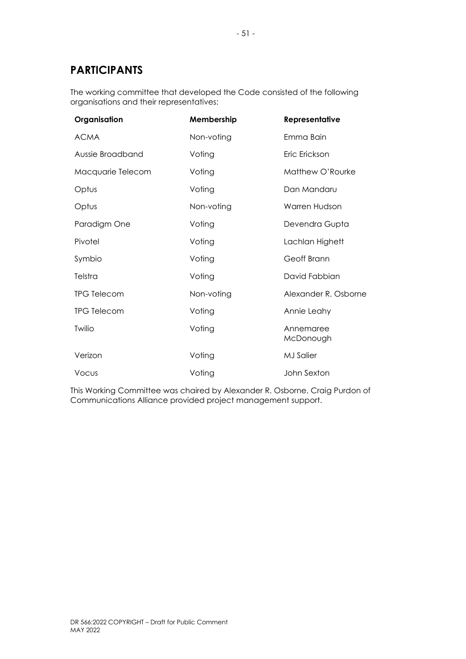## <span id="page-58-0"></span>**PARTICIPANTS**

The working committee that developed the Code consisted of the following organisations and their representatives:

| Organisation       | Membership | Representative         |
|--------------------|------------|------------------------|
| <b>ACMA</b>        | Non-voting | Emma Bain              |
| Aussie Broadband   | Voting     | Eric Erickson          |
| Macquarie Telecom  | Voting     | Matthew O'Rourke       |
| Optus              | Voting     | Dan Mandaru            |
| Optus              | Non-voting | Warren Hudson          |
| Paradigm One       | Voting     | Devendra Gupta         |
| Pivotel            | Voting     | Lachlan Highett        |
| Symbio             | Voting     | Geoff Brann            |
| Telstra            | Voting     | David Fabbian          |
| <b>TPG Telecom</b> | Non-voting | Alexander R. Osborne   |
| <b>TPG Telecom</b> | Voting     | Annie Leahy            |
| Twilio             | Voting     | Annemaree<br>McDonough |
| Verizon            | Voting     | <b>MJ</b> Salier       |
| Vocus              | Voting     | John Sexton            |

This Working Committee was chaired by Alexander R. Osborne. Craig Purdon of Communications Alliance provided project management support.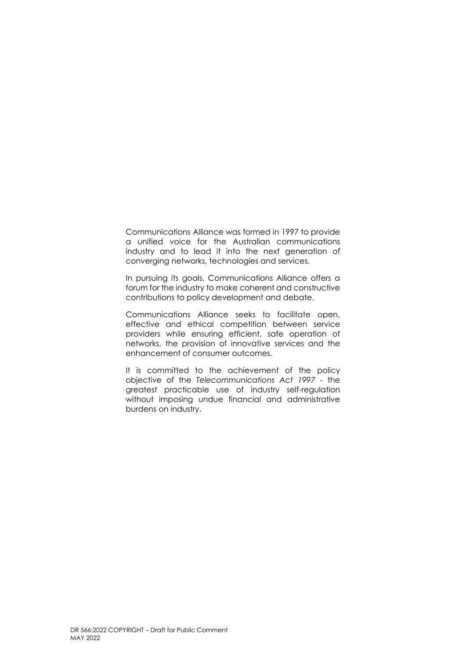Communications Alliance was formed in 1997 to provide a unified voice for the Australian communications industry and to lead it into the next generation of converging networks, technologies and services.

In pursuing its goals, Communications Alliance offers a forum for the industry to make coherent and constructive contributions to policy development and debate.

Communications Alliance seeks to facilitate open, effective and ethical competition between service providers while ensuring efficient, safe operation of networks, the provision of innovative services and the enhancement of consumer outcomes.

It is committed to the achievement of the policy objective of the *Telecommunications Act 1997 -* the greatest practicable use of industry self-regulation without imposing undue financial and administrative burdens on industry.